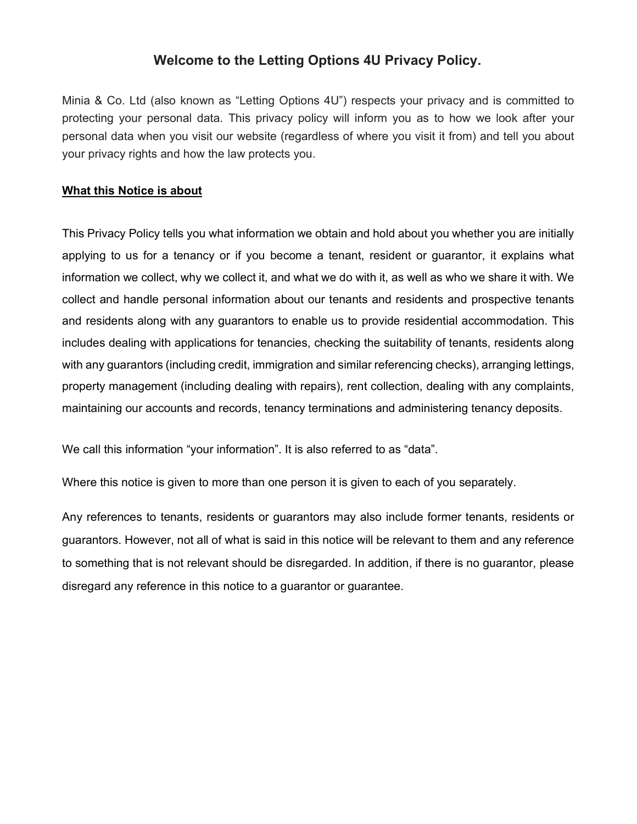# Welcome to the Letting Options 4U Privacy Policy.

Minia & Co. Ltd (also known as "Letting Options 4U") respects your privacy and is committed to protecting your personal data. This privacy policy will inform you as to how we look after your personal data when you visit our website (regardless of where you visit it from) and tell you about your privacy rights and how the law protects you.

## What this Notice is about

This Privacy Policy tells you what information we obtain and hold about you whether you are initially applying to us for a tenancy or if you become a tenant, resident or guarantor, it explains what information we collect, why we collect it, and what we do with it, as well as who we share it with. We collect and handle personal information about our tenants and residents and prospective tenants and residents along with any guarantors to enable us to provide residential accommodation. This includes dealing with applications for tenancies, checking the suitability of tenants, residents along with any guarantors (including credit, immigration and similar referencing checks), arranging lettings, property management (including dealing with repairs), rent collection, dealing with any complaints, maintaining our accounts and records, tenancy terminations and administering tenancy deposits.

We call this information "your information". It is also referred to as "data".

Where this notice is given to more than one person it is given to each of you separately.

Any references to tenants, residents or guarantors may also include former tenants, residents or guarantors. However, not all of what is said in this notice will be relevant to them and any reference to something that is not relevant should be disregarded. In addition, if there is no guarantor, please disregard any reference in this notice to a guarantor or guarantee.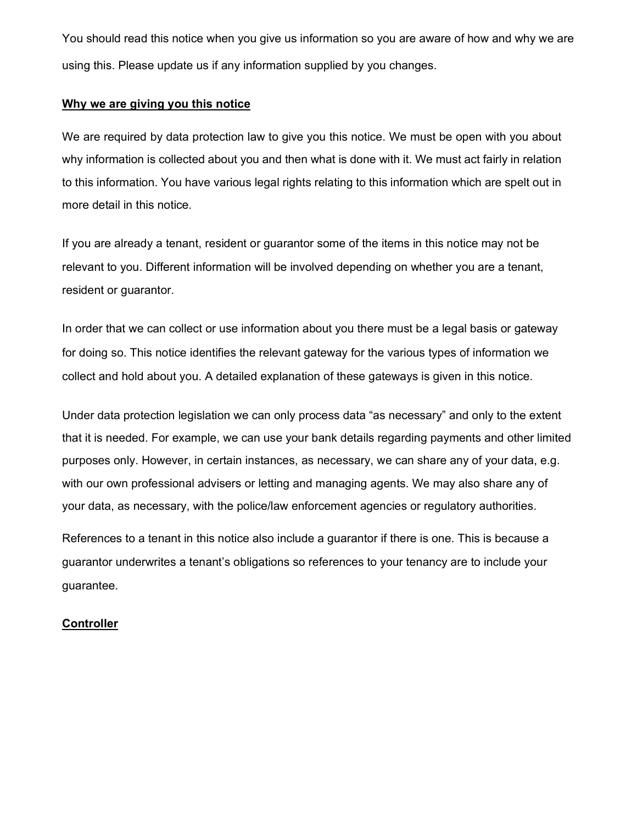You should read this notice when you give us information so you are aware of how and why we are using this. Please update us if any information supplied by you changes.

## Why we are giving you this notice

We are required by data protection law to give you this notice. We must be open with you about why information is collected about you and then what is done with it. We must act fairly in relation to this information. You have various legal rights relating to this information which are spelt out in more detail in this notice.

If you are already a tenant, resident or guarantor some of the items in this notice may not be relevant to you. Different information will be involved depending on whether you are a tenant, resident or guarantor.

In order that we can collect or use information about you there must be a legal basis or gateway for doing so. This notice identifies the relevant gateway for the various types of information we collect and hold about you. A detailed explanation of these gateways is given in this notice.

Under data protection legislation we can only process data "as necessary" and only to the extent that it is needed. For example, we can use your bank details regarding payments and other limited purposes only. However, in certain instances, as necessary, we can share any of your data, e.g. with our own professional advisers or letting and managing agents. We may also share any of your data, as necessary, with the police/law enforcement agencies or regulatory authorities.

References to a tenant in this notice also include a guarantor if there is one. This is because a guarantor underwrites a tenant's obligations so references to your tenancy are to include your guarantee.

#### **Controller**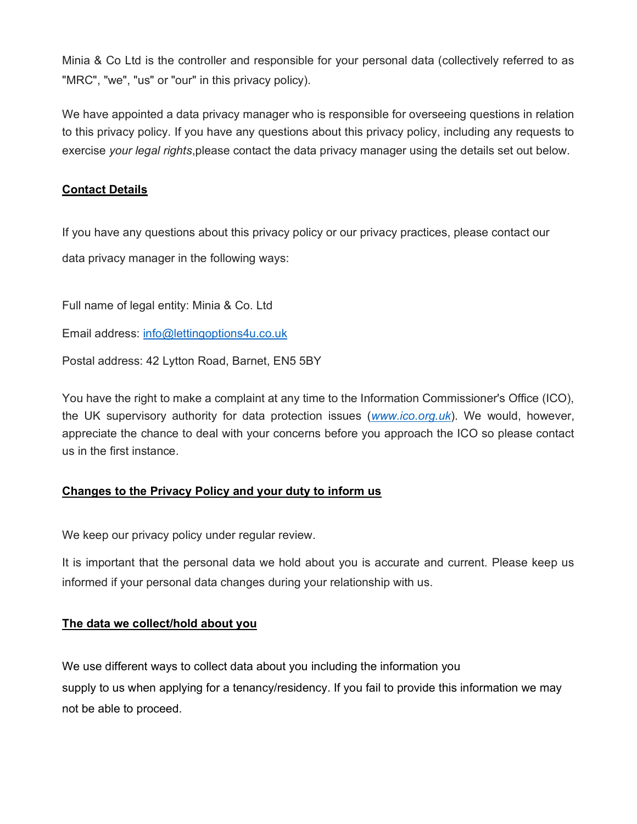Minia & Co Ltd is the controller and responsible for your personal data (collectively referred to as "MRC", "we", "us" or "our" in this privacy policy).

We have appointed a data privacy manager who is responsible for overseeing questions in relation to this privacy policy. If you have any questions about this privacy policy, including any requests to exercise your legal rights, please contact the data privacy manager using the details set out below.

# Contact Details

If you have any questions about this privacy policy or our privacy practices, please contact our data privacy manager in the following ways:

Full name of legal entity: Minia & Co. Ltd

Email address: info@lettingoptions4u.co.uk

Postal address: 42 Lytton Road, Barnet, EN5 5BY

You have the right to make a complaint at any time to the Information Commissioner's Office (ICO), the UK supervisory authority for data protection issues (www.ico.org.uk). We would, however, appreciate the chance to deal with your concerns before you approach the ICO so please contact us in the first instance.

# Changes to the Privacy Policy and your duty to inform us

We keep our privacy policy under regular review.

It is important that the personal data we hold about you is accurate and current. Please keep us informed if your personal data changes during your relationship with us.

## The data we collect/hold about you

We use different ways to collect data about you including the information you supply to us when applying for a tenancy/residency. If you fail to provide this information we may not be able to proceed.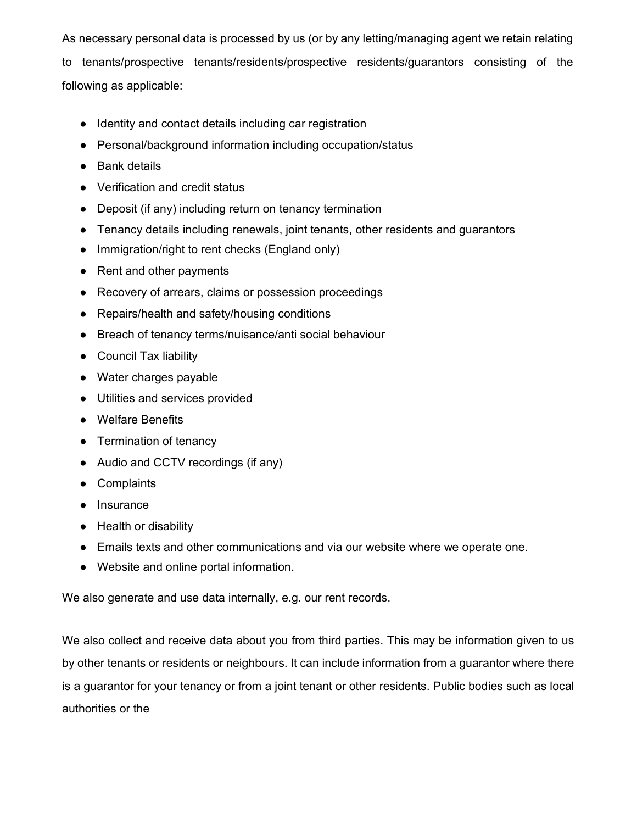As necessary personal data is processed by us (or by any letting/managing agent we retain relating

to tenants/prospective tenants/residents/prospective residents/guarantors consisting of the following as applicable:

- Identity and contact details including car registration
- Personal/background information including occupation/status
- Bank details
- Verification and credit status
- Deposit (if any) including return on tenancy termination
- Tenancy details including renewals, joint tenants, other residents and guarantors
- Immigration/right to rent checks (England only)
- Rent and other payments
- Recovery of arrears, claims or possession proceedings
- Repairs/health and safety/housing conditions
- Breach of tenancy terms/nuisance/anti social behaviour
- Council Tax liability
- Water charges payable
- Utilities and services provided
- Welfare Benefits
- Termination of tenancy
- Audio and CCTV recordings (if any)
- Complaints
- Insurance
- Health or disability
- Emails texts and other communications and via our website where we operate one.
- Website and online portal information.

We also generate and use data internally, e.g. our rent records.

We also collect and receive data about you from third parties. This may be information given to us by other tenants or residents or neighbours. It can include information from a guarantor where there is a guarantor for your tenancy or from a joint tenant or other residents. Public bodies such as local authorities or the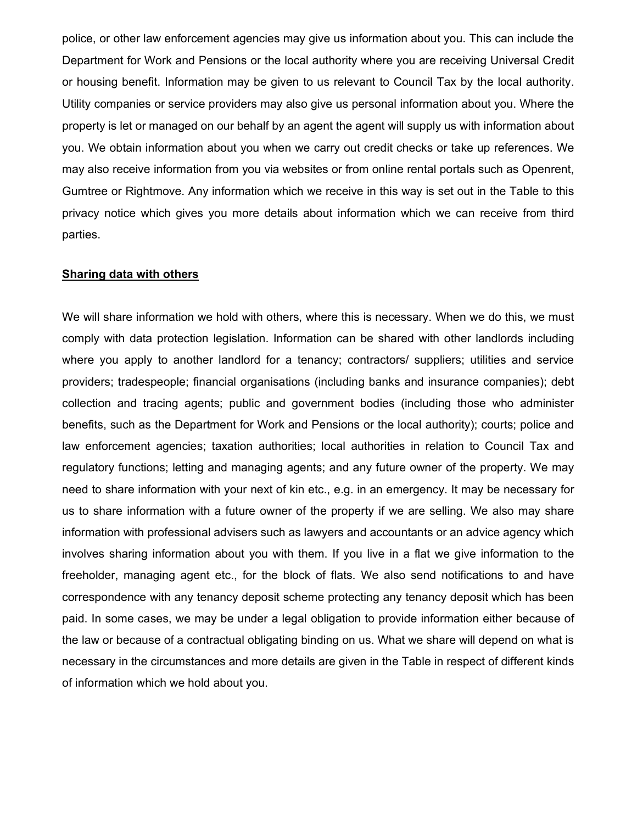police, or other law enforcement agencies may give us information about you. This can include the Department for Work and Pensions or the local authority where you are receiving Universal Credit or housing benefit. Information may be given to us relevant to Council Tax by the local authority. Utility companies or service providers may also give us personal information about you. Where the property is let or managed on our behalf by an agent the agent will supply us with information about you. We obtain information about you when we carry out credit checks or take up references. We may also receive information from you via websites or from online rental portals such as Openrent, Gumtree or Rightmove. Any information which we receive in this way is set out in the Table to this privacy notice which gives you more details about information which we can receive from third parties.

#### Sharing data with others

We will share information we hold with others, where this is necessary. When we do this, we must comply with data protection legislation. Information can be shared with other landlords including where you apply to another landlord for a tenancy; contractors/ suppliers; utilities and service providers; tradespeople; financial organisations (including banks and insurance companies); debt collection and tracing agents; public and government bodies (including those who administer benefits, such as the Department for Work and Pensions or the local authority); courts; police and law enforcement agencies; taxation authorities; local authorities in relation to Council Tax and regulatory functions; letting and managing agents; and any future owner of the property. We may need to share information with your next of kin etc., e.g. in an emergency. It may be necessary for us to share information with a future owner of the property if we are selling. We also may share information with professional advisers such as lawyers and accountants or an advice agency which involves sharing information about you with them. If you live in a flat we give information to the freeholder, managing agent etc., for the block of flats. We also send notifications to and have correspondence with any tenancy deposit scheme protecting any tenancy deposit which has been paid. In some cases, we may be under a legal obligation to provide information either because of the law or because of a contractual obligating binding on us. What we share will depend on what is necessary in the circumstances and more details are given in the Table in respect of different kinds of information which we hold about you.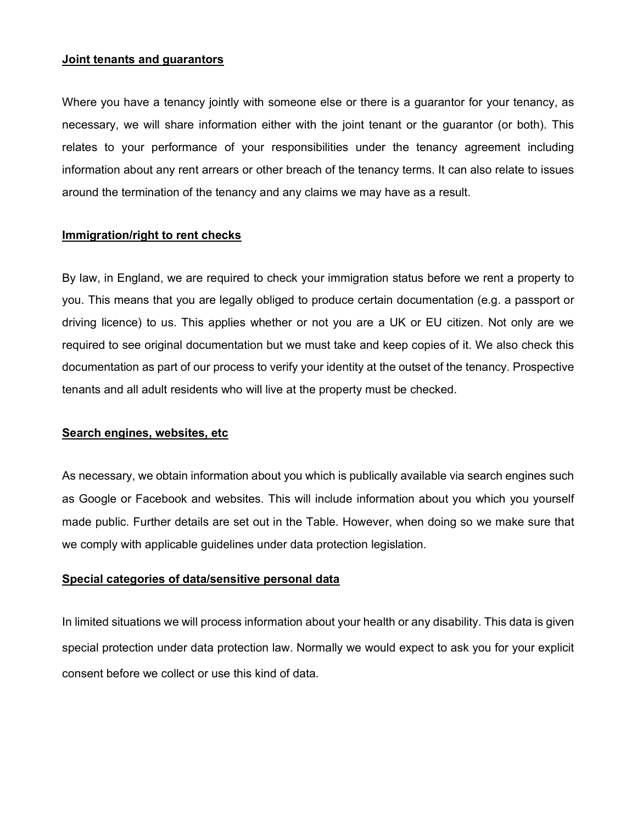#### Joint tenants and guarantors

Where you have a tenancy jointly with someone else or there is a guarantor for your tenancy, as necessary, we will share information either with the joint tenant or the guarantor (or both). This relates to your performance of your responsibilities under the tenancy agreement including information about any rent arrears or other breach of the tenancy terms. It can also relate to issues around the termination of the tenancy and any claims we may have as a result.

#### Immigration/right to rent checks

By law, in England, we are required to check your immigration status before we rent a property to you. This means that you are legally obliged to produce certain documentation (e.g. a passport or driving licence) to us. This applies whether or not you are a UK or EU citizen. Not only are we required to see original documentation but we must take and keep copies of it. We also check this documentation as part of our process to verify your identity at the outset of the tenancy. Prospective tenants and all adult residents who will live at the property must be checked.

#### Search engines, websites, etc

As necessary, we obtain information about you which is publically available via search engines such as Google or Facebook and websites. This will include information about you which you yourself made public. Further details are set out in the Table. However, when doing so we make sure that we comply with applicable guidelines under data protection legislation.

#### Special categories of data/sensitive personal data

In limited situations we will process information about your health or any disability. This data is given special protection under data protection law. Normally we would expect to ask you for your explicit consent before we collect or use this kind of data.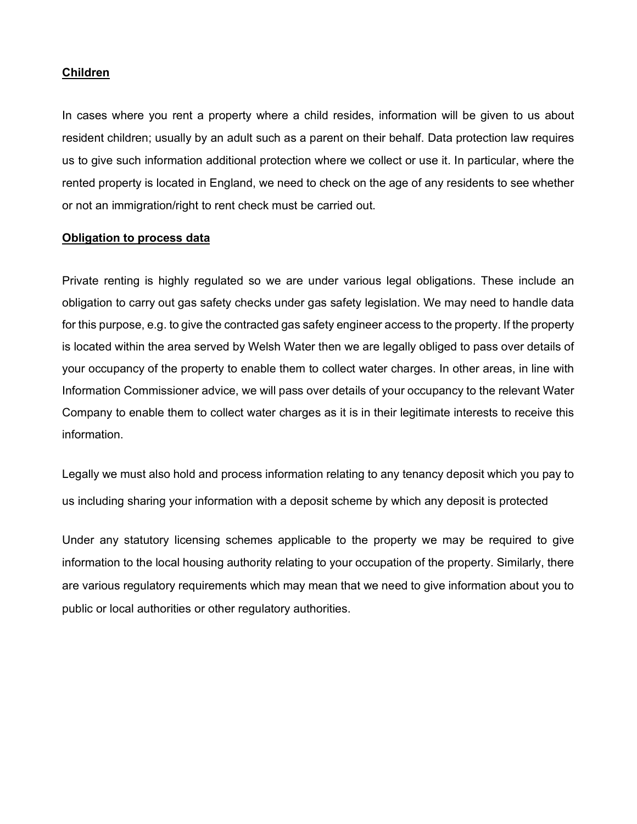#### Children

In cases where you rent a property where a child resides, information will be given to us about resident children; usually by an adult such as a parent on their behalf. Data protection law requires us to give such information additional protection where we collect or use it. In particular, where the rented property is located in England, we need to check on the age of any residents to see whether or not an immigration/right to rent check must be carried out.

#### Obligation to process data

Private renting is highly regulated so we are under various legal obligations. These include an obligation to carry out gas safety checks under gas safety legislation. We may need to handle data for this purpose, e.g. to give the contracted gas safety engineer access to the property. If the property is located within the area served by Welsh Water then we are legally obliged to pass over details of your occupancy of the property to enable them to collect water charges. In other areas, in line with Information Commissioner advice, we will pass over details of your occupancy to the relevant Water Company to enable them to collect water charges as it is in their legitimate interests to receive this information.

Legally we must also hold and process information relating to any tenancy deposit which you pay to us including sharing your information with a deposit scheme by which any deposit is protected

Under any statutory licensing schemes applicable to the property we may be required to give information to the local housing authority relating to your occupation of the property. Similarly, there are various regulatory requirements which may mean that we need to give information about you to public or local authorities or other regulatory authorities.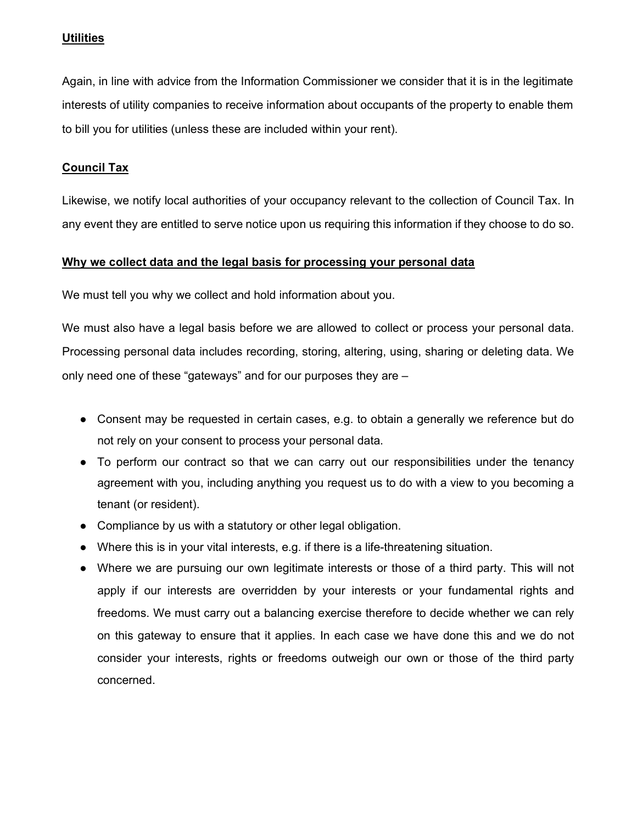## **Utilities**

Again, in line with advice from the Information Commissioner we consider that it is in the legitimate interests of utility companies to receive information about occupants of the property to enable them to bill you for utilities (unless these are included within your rent).

## Council Tax

Likewise, we notify local authorities of your occupancy relevant to the collection of Council Tax. In any event they are entitled to serve notice upon us requiring this information if they choose to do so.

#### Why we collect data and the legal basis for processing your personal data

We must tell you why we collect and hold information about you.

We must also have a legal basis before we are allowed to collect or process your personal data. Processing personal data includes recording, storing, altering, using, sharing or deleting data. We only need one of these "gateways" and for our purposes they are –

- Consent may be requested in certain cases, e.g. to obtain a generally we reference but do not rely on your consent to process your personal data.
- To perform our contract so that we can carry out our responsibilities under the tenancy agreement with you, including anything you request us to do with a view to you becoming a tenant (or resident).
- Compliance by us with a statutory or other legal obligation.
- Where this is in your vital interests, e.g. if there is a life-threatening situation.
- Where we are pursuing our own legitimate interests or those of a third party. This will not apply if our interests are overridden by your interests or your fundamental rights and freedoms. We must carry out a balancing exercise therefore to decide whether we can rely on this gateway to ensure that it applies. In each case we have done this and we do not consider your interests, rights or freedoms outweigh our own or those of the third party concerned.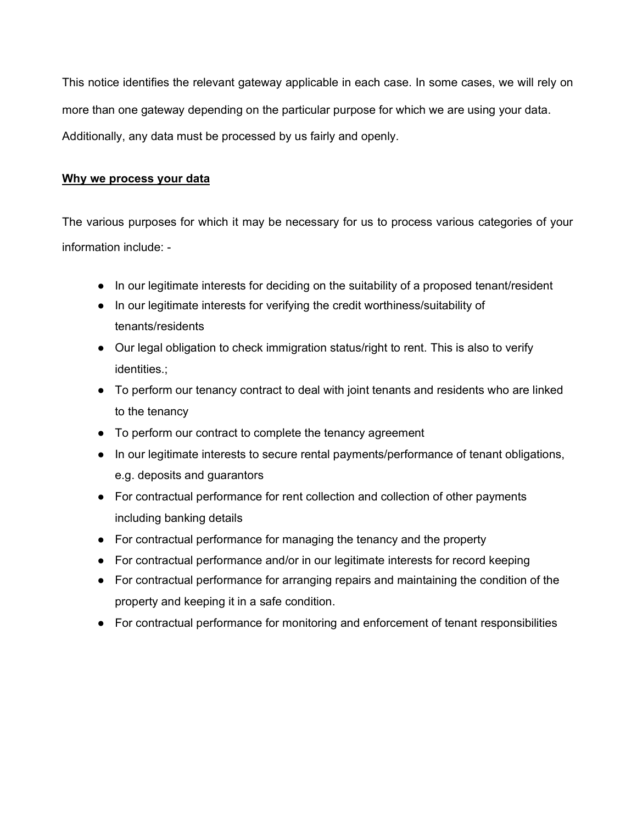This notice identifies the relevant gateway applicable in each case. In some cases, we will rely on more than one gateway depending on the particular purpose for which we are using your data. Additionally, any data must be processed by us fairly and openly.

## Why we process your data

The various purposes for which it may be necessary for us to process various categories of your information include: -

- In our legitimate interests for deciding on the suitability of a proposed tenant/resident
- In our legitimate interests for verifying the credit worthiness/suitability of tenants/residents
- Our legal obligation to check immigration status/right to rent. This is also to verify identities.;
- To perform our tenancy contract to deal with joint tenants and residents who are linked to the tenancy
- To perform our contract to complete the tenancy agreement
- In our legitimate interests to secure rental payments/performance of tenant obligations, e.g. deposits and guarantors
- For contractual performance for rent collection and collection of other payments including banking details
- For contractual performance for managing the tenancy and the property
- For contractual performance and/or in our legitimate interests for record keeping
- For contractual performance for arranging repairs and maintaining the condition of the property and keeping it in a safe condition.
- For contractual performance for monitoring and enforcement of tenant responsibilities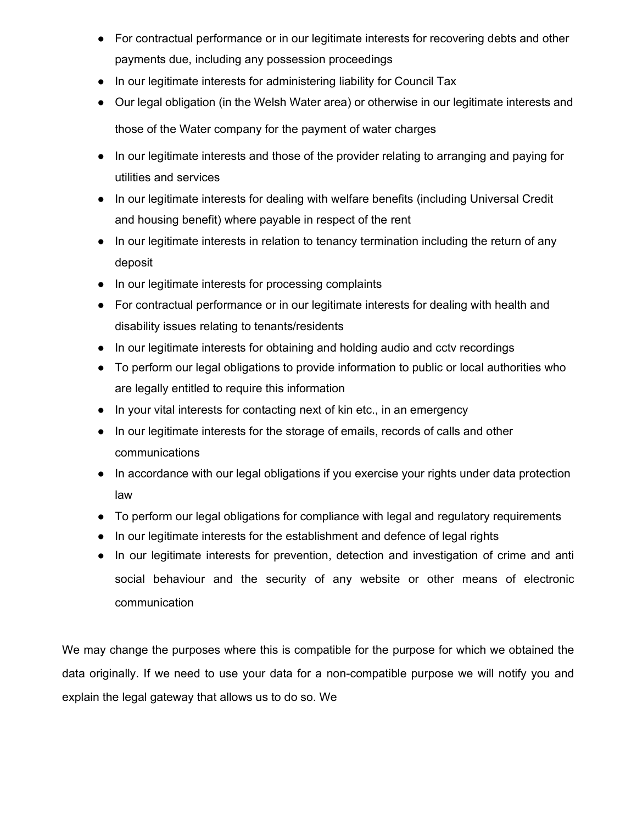- For contractual performance or in our legitimate interests for recovering debts and other payments due, including any possession proceedings
- In our legitimate interests for administering liability for Council Tax
- Our legal obligation (in the Welsh Water area) or otherwise in our legitimate interests and those of the Water company for the payment of water charges
- In our legitimate interests and those of the provider relating to arranging and paying for utilities and services
- In our legitimate interests for dealing with welfare benefits (including Universal Credit and housing benefit) where payable in respect of the rent
- In our legitimate interests in relation to tenancy termination including the return of any deposit
- In our legitimate interests for processing complaints
- For contractual performance or in our legitimate interests for dealing with health and disability issues relating to tenants/residents
- In our legitimate interests for obtaining and holding audio and cctv recordings
- To perform our legal obligations to provide information to public or local authorities who are legally entitled to require this information
- In your vital interests for contacting next of kin etc., in an emergency
- In our legitimate interests for the storage of emails, records of calls and other communications
- In accordance with our legal obligations if you exercise your rights under data protection law
- To perform our legal obligations for compliance with legal and regulatory requirements
- In our legitimate interests for the establishment and defence of legal rights
- In our legitimate interests for prevention, detection and investigation of crime and anti social behaviour and the security of any website or other means of electronic communication

We may change the purposes where this is compatible for the purpose for which we obtained the data originally. If we need to use your data for a non-compatible purpose we will notify you and explain the legal gateway that allows us to do so. We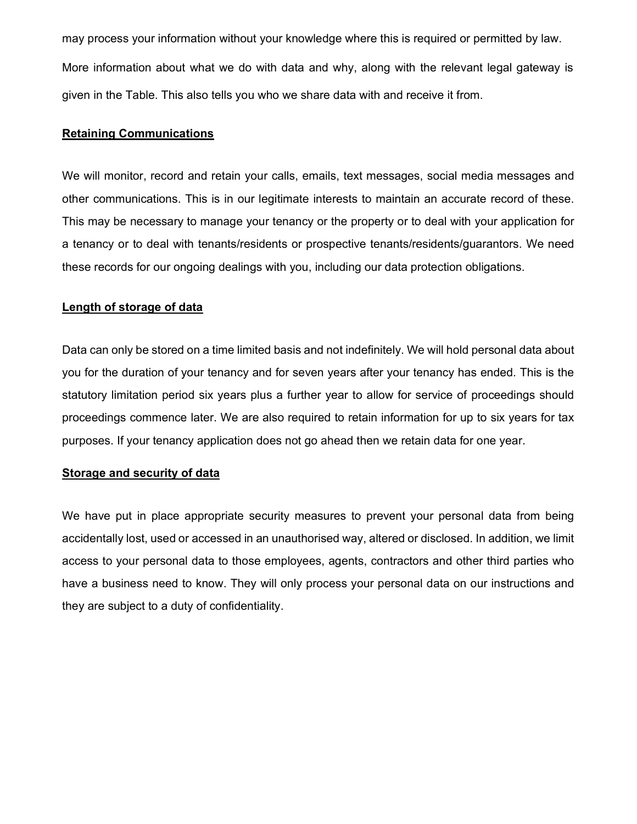may process your information without your knowledge where this is required or permitted by law. More information about what we do with data and why, along with the relevant legal gateway is given in the Table. This also tells you who we share data with and receive it from.

#### Retaining Communications

We will monitor, record and retain your calls, emails, text messages, social media messages and other communications. This is in our legitimate interests to maintain an accurate record of these. This may be necessary to manage your tenancy or the property or to deal with your application for a tenancy or to deal with tenants/residents or prospective tenants/residents/guarantors. We need these records for our ongoing dealings with you, including our data protection obligations.

#### Length of storage of data

Data can only be stored on a time limited basis and not indefinitely. We will hold personal data about you for the duration of your tenancy and for seven years after your tenancy has ended. This is the statutory limitation period six years plus a further year to allow for service of proceedings should proceedings commence later. We are also required to retain information for up to six years for tax purposes. If your tenancy application does not go ahead then we retain data for one year.

#### Storage and security of data

We have put in place appropriate security measures to prevent your personal data from being accidentally lost, used or accessed in an unauthorised way, altered or disclosed. In addition, we limit access to your personal data to those employees, agents, contractors and other third parties who have a business need to know. They will only process your personal data on our instructions and they are subject to a duty of confidentiality.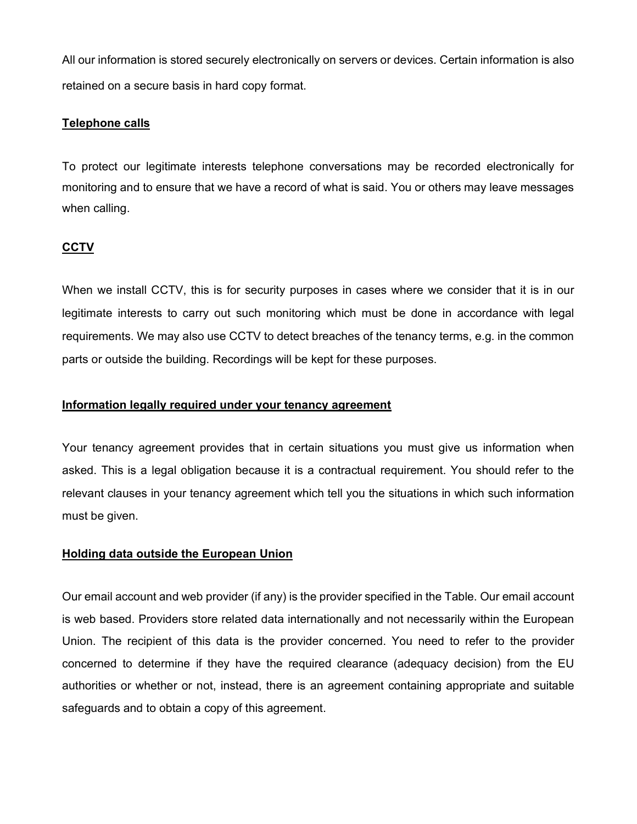All our information is stored securely electronically on servers or devices. Certain information is also retained on a secure basis in hard copy format.

## Telephone calls

To protect our legitimate interests telephone conversations may be recorded electronically for monitoring and to ensure that we have a record of what is said. You or others may leave messages when calling.

## **CCTV**

When we install CCTV, this is for security purposes in cases where we consider that it is in our legitimate interests to carry out such monitoring which must be done in accordance with legal requirements. We may also use CCTV to detect breaches of the tenancy terms, e.g. in the common parts or outside the building. Recordings will be kept for these purposes.

### Information legally required under your tenancy agreement

Your tenancy agreement provides that in certain situations you must give us information when asked. This is a legal obligation because it is a contractual requirement. You should refer to the relevant clauses in your tenancy agreement which tell you the situations in which such information must be given.

## Holding data outside the European Union

Our email account and web provider (if any) is the provider specified in the Table. Our email account is web based. Providers store related data internationally and not necessarily within the European Union. The recipient of this data is the provider concerned. You need to refer to the provider concerned to determine if they have the required clearance (adequacy decision) from the EU authorities or whether or not, instead, there is an agreement containing appropriate and suitable safeguards and to obtain a copy of this agreement.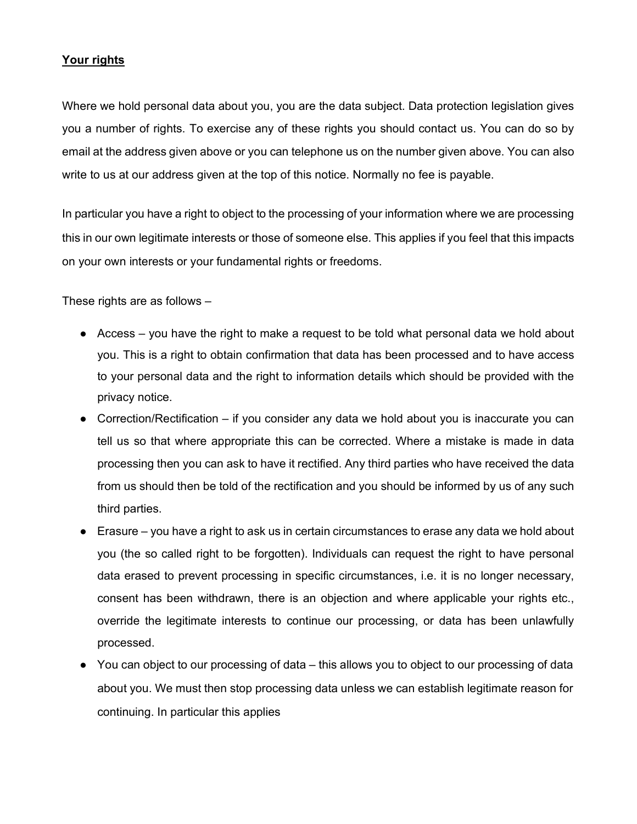## Your rights

Where we hold personal data about you, you are the data subject. Data protection legislation gives you a number of rights. To exercise any of these rights you should contact us. You can do so by email at the address given above or you can telephone us on the number given above. You can also write to us at our address given at the top of this notice. Normally no fee is payable.

In particular you have a right to object to the processing of your information where we are processing this in our own legitimate interests or those of someone else. This applies if you feel that this impacts on your own interests or your fundamental rights or freedoms.

These rights are as follows –

- Access you have the right to make a request to be told what personal data we hold about you. This is a right to obtain confirmation that data has been processed and to have access to your personal data and the right to information details which should be provided with the privacy notice.
- Correction/Rectification  $-$  if you consider any data we hold about you is inaccurate you can tell us so that where appropriate this can be corrected. Where a mistake is made in data processing then you can ask to have it rectified. Any third parties who have received the data from us should then be told of the rectification and you should be informed by us of any such third parties.
- Erasure you have a right to ask us in certain circumstances to erase any data we hold about you (the so called right to be forgotten). Individuals can request the right to have personal data erased to prevent processing in specific circumstances, i.e. it is no longer necessary, consent has been withdrawn, there is an objection and where applicable your rights etc., override the legitimate interests to continue our processing, or data has been unlawfully processed.
- You can object to our processing of data this allows you to object to our processing of data about you. We must then stop processing data unless we can establish legitimate reason for continuing. In particular this applies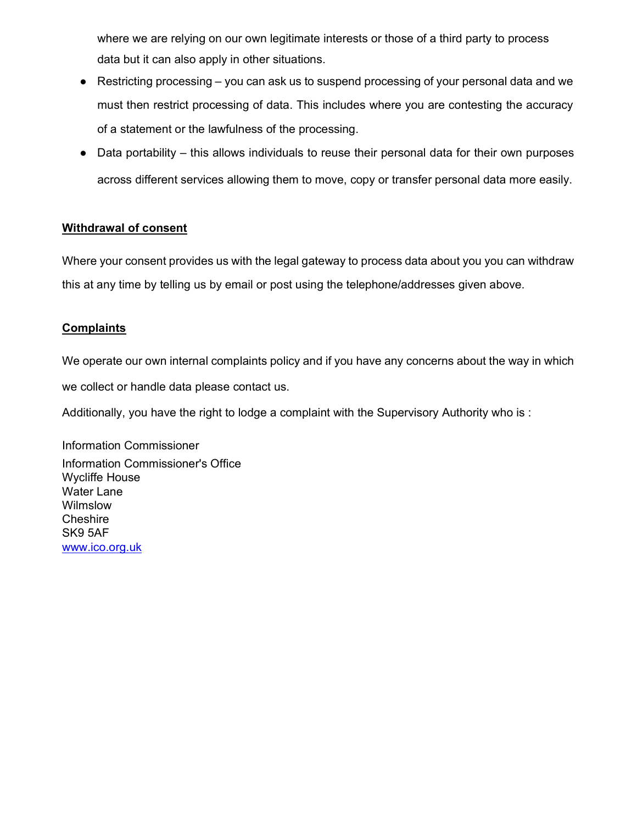where we are relying on our own legitimate interests or those of a third party to process data but it can also apply in other situations.

- $\bullet$  Restricting processing you can ask us to suspend processing of your personal data and we must then restrict processing of data. This includes where you are contesting the accuracy of a statement or the lawfulness of the processing.
- Data portability this allows individuals to reuse their personal data for their own purposes across different services allowing them to move, copy or transfer personal data more easily.

## Withdrawal of consent

Where your consent provides us with the legal gateway to process data about you you can withdraw this at any time by telling us by email or post using the telephone/addresses given above.

## **Complaints**

We operate our own internal complaints policy and if you have any concerns about the way in which

we collect or handle data please contact us.

Additionally, you have the right to lodge a complaint with the Supervisory Authority who is :

Information Commissioner Information Commissioner's Office Wycliffe House Water Lane **Wilmslow Cheshire** SK9 5AF www.ico.org.uk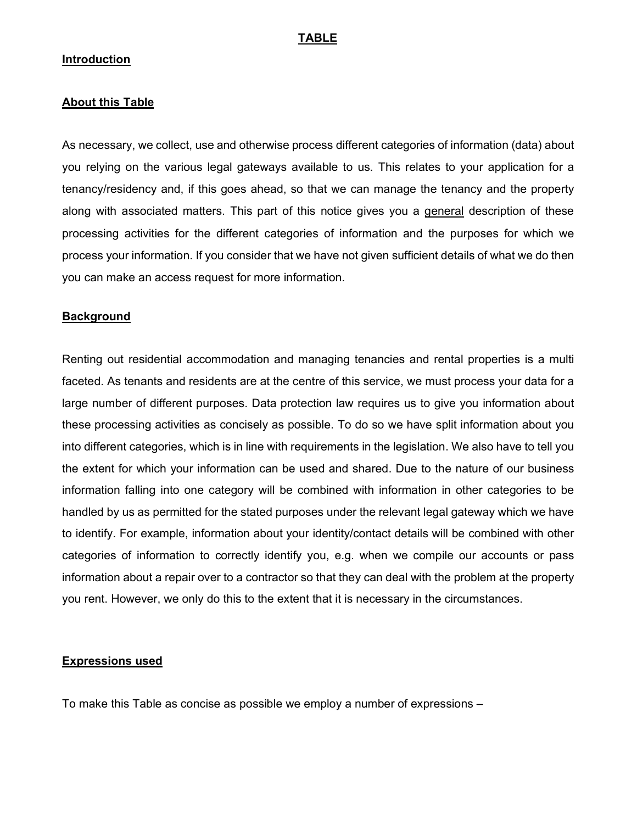#### TABLE

#### Introduction

#### About this Table

As necessary, we collect, use and otherwise process different categories of information (data) about you relying on the various legal gateways available to us. This relates to your application for a tenancy/residency and, if this goes ahead, so that we can manage the tenancy and the property along with associated matters. This part of this notice gives you a general description of these processing activities for the different categories of information and the purposes for which we process your information. If you consider that we have not given sufficient details of what we do then you can make an access request for more information.

#### **Background**

Renting out residential accommodation and managing tenancies and rental properties is a multi faceted. As tenants and residents are at the centre of this service, we must process your data for a large number of different purposes. Data protection law requires us to give you information about these processing activities as concisely as possible. To do so we have split information about you into different categories, which is in line with requirements in the legislation. We also have to tell you the extent for which your information can be used and shared. Due to the nature of our business information falling into one category will be combined with information in other categories to be handled by us as permitted for the stated purposes under the relevant legal gateway which we have to identify. For example, information about your identity/contact details will be combined with other categories of information to correctly identify you, e.g. when we compile our accounts or pass information about a repair over to a contractor so that they can deal with the problem at the property you rent. However, we only do this to the extent that it is necessary in the circumstances.

#### Expressions used

To make this Table as concise as possible we employ a number of expressions –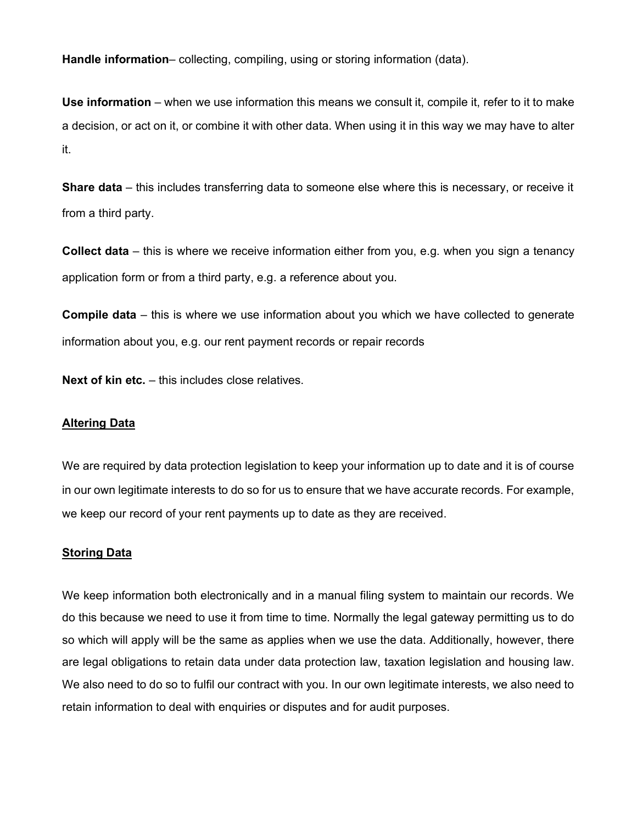Handle information– collecting, compiling, using or storing information (data).

Use information – when we use information this means we consult it, compile it, refer to it to make a decision, or act on it, or combine it with other data. When using it in this way we may have to alter it.

**Share data** – this includes transferring data to someone else where this is necessary, or receive it from a third party.

Collect data – this is where we receive information either from you, e.g. when you sign a tenancy application form or from a third party, e.g. a reference about you.

Compile data – this is where we use information about you which we have collected to generate information about you, e.g. our rent payment records or repair records

Next of kin etc. – this includes close relatives.

#### **Altering Data**

We are required by data protection legislation to keep your information up to date and it is of course in our own legitimate interests to do so for us to ensure that we have accurate records. For example, we keep our record of your rent payments up to date as they are received.

#### Storing Data

We keep information both electronically and in a manual filing system to maintain our records. We do this because we need to use it from time to time. Normally the legal gateway permitting us to do so which will apply will be the same as applies when we use the data. Additionally, however, there are legal obligations to retain data under data protection law, taxation legislation and housing law. We also need to do so to fulfil our contract with you. In our own legitimate interests, we also need to retain information to deal with enquiries or disputes and for audit purposes.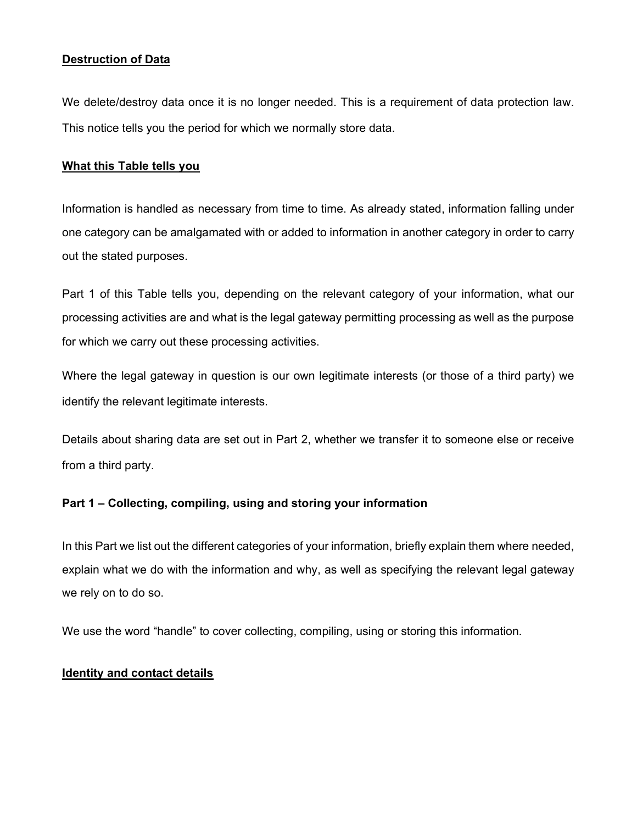## Destruction of Data

We delete/destroy data once it is no longer needed. This is a requirement of data protection law. This notice tells you the period for which we normally store data.

#### What this Table tells you

Information is handled as necessary from time to time. As already stated, information falling under one category can be amalgamated with or added to information in another category in order to carry out the stated purposes.

Part 1 of this Table tells you, depending on the relevant category of your information, what our processing activities are and what is the legal gateway permitting processing as well as the purpose for which we carry out these processing activities.

Where the legal gateway in question is our own legitimate interests (or those of a third party) we identify the relevant legitimate interests.

Details about sharing data are set out in Part 2, whether we transfer it to someone else or receive from a third party.

#### Part 1 – Collecting, compiling, using and storing your information

In this Part we list out the different categories of your information, briefly explain them where needed, explain what we do with the information and why, as well as specifying the relevant legal gateway we rely on to do so.

We use the word "handle" to cover collecting, compiling, using or storing this information.

#### Identity and contact details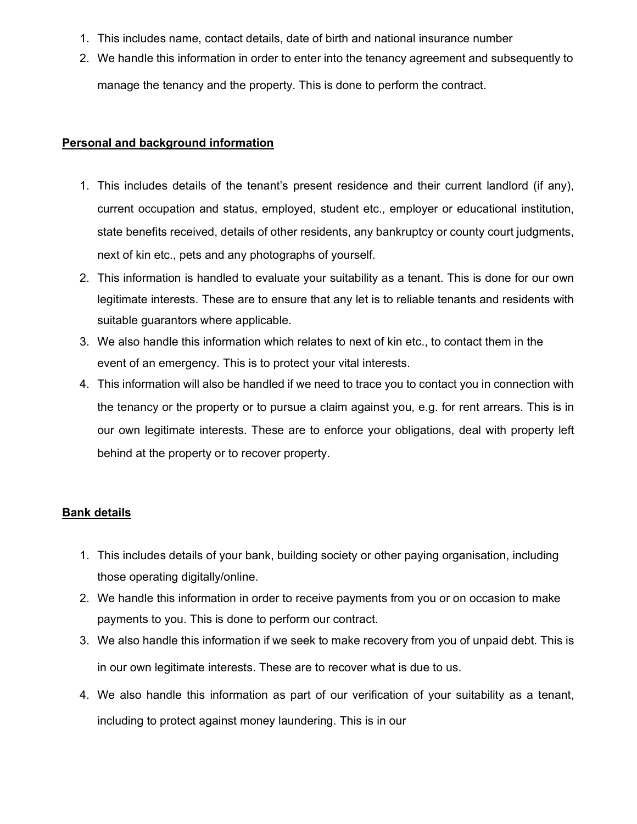- 1. This includes name, contact details, date of birth and national insurance number
- 2. We handle this information in order to enter into the tenancy agreement and subsequently to manage the tenancy and the property. This is done to perform the contract.

#### Personal and background information

- 1. This includes details of the tenant's present residence and their current landlord (if any), current occupation and status, employed, student etc., employer or educational institution, state benefits received, details of other residents, any bankruptcy or county court judgments, next of kin etc., pets and any photographs of yourself.
- 2. This information is handled to evaluate your suitability as a tenant. This is done for our own legitimate interests. These are to ensure that any let is to reliable tenants and residents with suitable guarantors where applicable.
- 3. We also handle this information which relates to next of kin etc., to contact them in the event of an emergency. This is to protect your vital interests.
- 4. This information will also be handled if we need to trace you to contact you in connection with the tenancy or the property or to pursue a claim against you, e.g. for rent arrears. This is in our own legitimate interests. These are to enforce your obligations, deal with property left behind at the property or to recover property.

## Bank details

- 1. This includes details of your bank, building society or other paying organisation, including those operating digitally/online.
- 2. We handle this information in order to receive payments from you or on occasion to make payments to you. This is done to perform our contract.
- 3. We also handle this information if we seek to make recovery from you of unpaid debt. This is in our own legitimate interests. These are to recover what is due to us.
- 4. We also handle this information as part of our verification of your suitability as a tenant, including to protect against money laundering. This is in our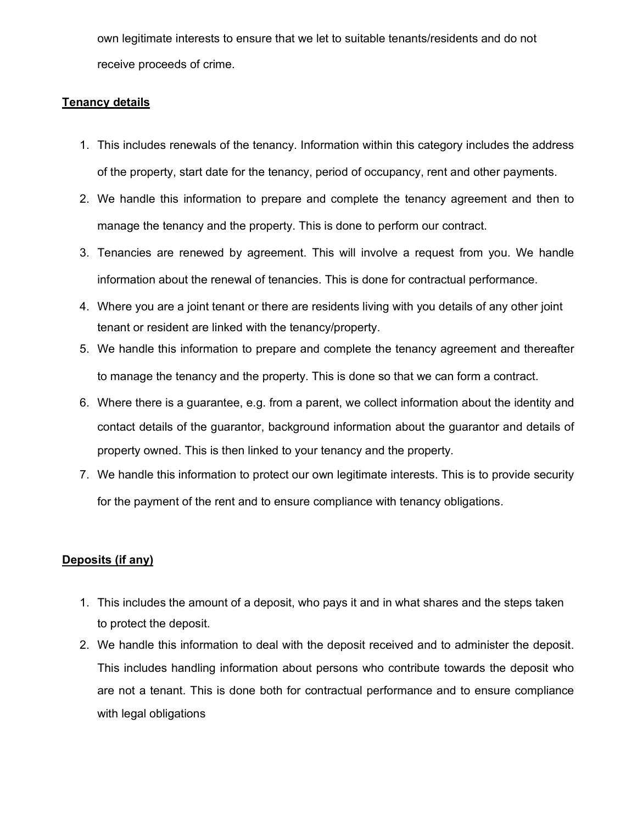own legitimate interests to ensure that we let to suitable tenants/residents and do not receive proceeds of crime.

## Tenancy details

- 1. This includes renewals of the tenancy. Information within this category includes the address of the property, start date for the tenancy, period of occupancy, rent and other payments.
- 2. We handle this information to prepare and complete the tenancy agreement and then to manage the tenancy and the property. This is done to perform our contract.
- 3. Tenancies are renewed by agreement. This will involve a request from you. We handle information about the renewal of tenancies. This is done for contractual performance.
- 4. Where you are a joint tenant or there are residents living with you details of any other joint tenant or resident are linked with the tenancy/property.
- 5. We handle this information to prepare and complete the tenancy agreement and thereafter to manage the tenancy and the property. This is done so that we can form a contract.
- 6. Where there is a guarantee, e.g. from a parent, we collect information about the identity and contact details of the guarantor, background information about the guarantor and details of property owned. This is then linked to your tenancy and the property.
- 7. We handle this information to protect our own legitimate interests. This is to provide security for the payment of the rent and to ensure compliance with tenancy obligations.

## Deposits (if any)

- 1. This includes the amount of a deposit, who pays it and in what shares and the steps taken to protect the deposit.
- 2. We handle this information to deal with the deposit received and to administer the deposit. This includes handling information about persons who contribute towards the deposit who are not a tenant. This is done both for contractual performance and to ensure compliance with legal obligations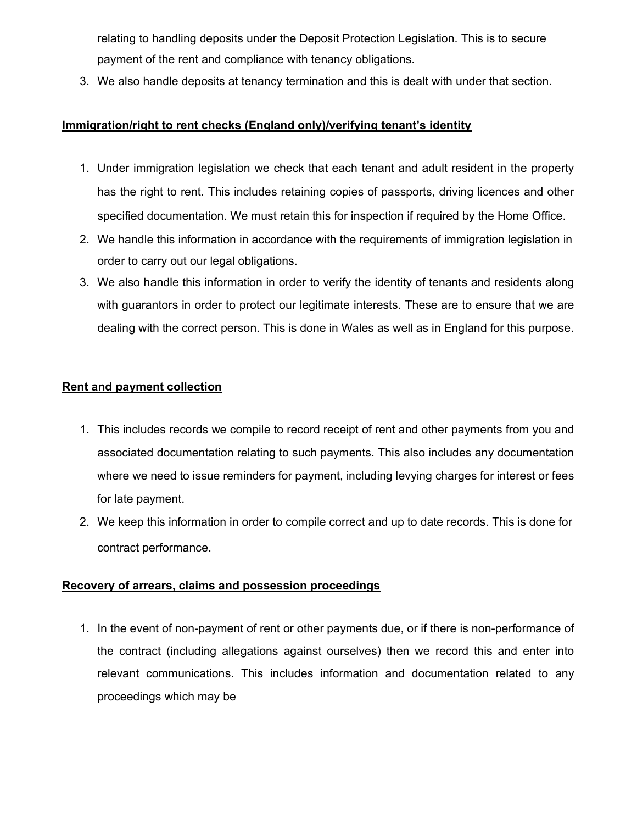relating to handling deposits under the Deposit Protection Legislation. This is to secure payment of the rent and compliance with tenancy obligations.

3. We also handle deposits at tenancy termination and this is dealt with under that section.

## Immigration/right to rent checks (England only)/verifying tenant's identity

- 1. Under immigration legislation we check that each tenant and adult resident in the property has the right to rent. This includes retaining copies of passports, driving licences and other specified documentation. We must retain this for inspection if required by the Home Office.
- 2. We handle this information in accordance with the requirements of immigration legislation in order to carry out our legal obligations.
- 3. We also handle this information in order to verify the identity of tenants and residents along with guarantors in order to protect our legitimate interests. These are to ensure that we are dealing with the correct person. This is done in Wales as well as in England for this purpose.

## Rent and payment collection

- 1. This includes records we compile to record receipt of rent and other payments from you and associated documentation relating to such payments. This also includes any documentation where we need to issue reminders for payment, including levying charges for interest or fees for late payment.
- 2. We keep this information in order to compile correct and up to date records. This is done for contract performance.

## Recovery of arrears, claims and possession proceedings

1. In the event of non-payment of rent or other payments due, or if there is non-performance of the contract (including allegations against ourselves) then we record this and enter into relevant communications. This includes information and documentation related to any proceedings which may be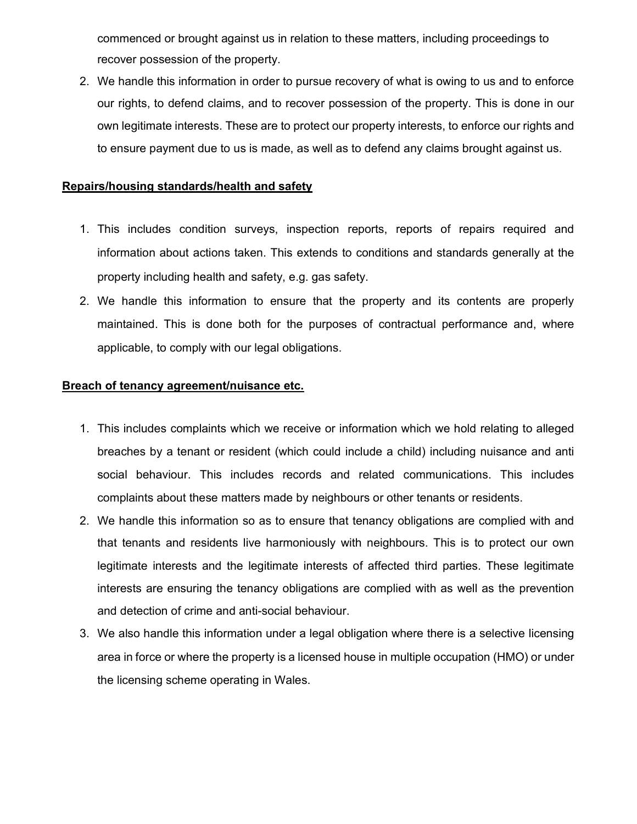commenced or brought against us in relation to these matters, including proceedings to recover possession of the property.

2. We handle this information in order to pursue recovery of what is owing to us and to enforce our rights, to defend claims, and to recover possession of the property. This is done in our own legitimate interests. These are to protect our property interests, to enforce our rights and to ensure payment due to us is made, as well as to defend any claims brought against us.

## Repairs/housing standards/health and safety

- 1. This includes condition surveys, inspection reports, reports of repairs required and information about actions taken. This extends to conditions and standards generally at the property including health and safety, e.g. gas safety.
- 2. We handle this information to ensure that the property and its contents are properly maintained. This is done both for the purposes of contractual performance and, where applicable, to comply with our legal obligations.

### Breach of tenancy agreement/nuisance etc.

- 1. This includes complaints which we receive or information which we hold relating to alleged breaches by a tenant or resident (which could include a child) including nuisance and anti social behaviour. This includes records and related communications. This includes complaints about these matters made by neighbours or other tenants or residents.
- 2. We handle this information so as to ensure that tenancy obligations are complied with and that tenants and residents live harmoniously with neighbours. This is to protect our own legitimate interests and the legitimate interests of affected third parties. These legitimate interests are ensuring the tenancy obligations are complied with as well as the prevention and detection of crime and anti-social behaviour.
- 3. We also handle this information under a legal obligation where there is a selective licensing area in force or where the property is a licensed house in multiple occupation (HMO) or under the licensing scheme operating in Wales.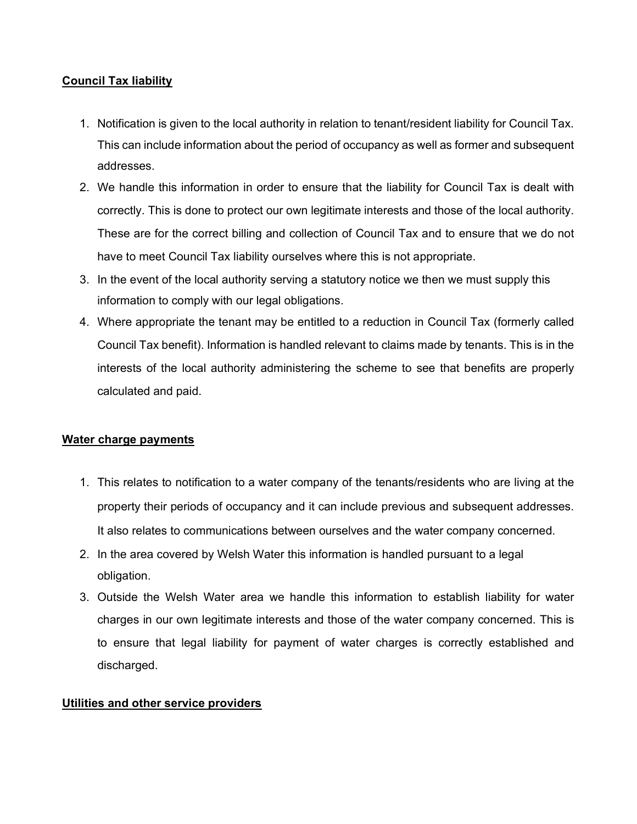## Council Tax liability

- 1. Notification is given to the local authority in relation to tenant/resident liability for Council Tax. This can include information about the period of occupancy as well as former and subsequent addresses.
- 2. We handle this information in order to ensure that the liability for Council Tax is dealt with correctly. This is done to protect our own legitimate interests and those of the local authority. These are for the correct billing and collection of Council Tax and to ensure that we do not have to meet Council Tax liability ourselves where this is not appropriate.
- 3. In the event of the local authority serving a statutory notice we then we must supply this information to comply with our legal obligations.
- 4. Where appropriate the tenant may be entitled to a reduction in Council Tax (formerly called Council Tax benefit). Information is handled relevant to claims made by tenants. This is in the interests of the local authority administering the scheme to see that benefits are properly calculated and paid.

## Water charge payments

- 1. This relates to notification to a water company of the tenants/residents who are living at the property their periods of occupancy and it can include previous and subsequent addresses. It also relates to communications between ourselves and the water company concerned.
- 2. In the area covered by Welsh Water this information is handled pursuant to a legal obligation.
- 3. Outside the Welsh Water area we handle this information to establish liability for water charges in our own legitimate interests and those of the water company concerned. This is to ensure that legal liability for payment of water charges is correctly established and discharged.

## Utilities and other service providers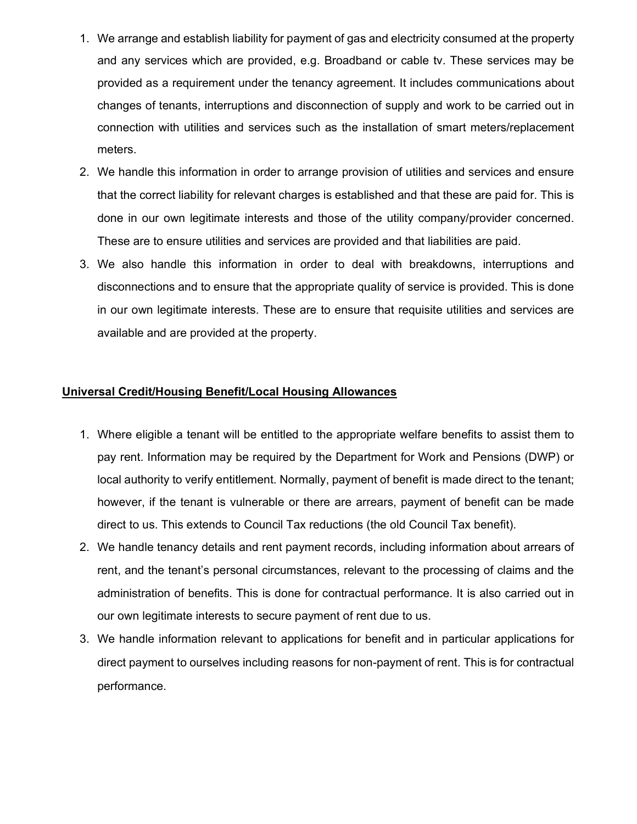- 1. We arrange and establish liability for payment of gas and electricity consumed at the property and any services which are provided, e.g. Broadband or cable tv. These services may be provided as a requirement under the tenancy agreement. It includes communications about changes of tenants, interruptions and disconnection of supply and work to be carried out in connection with utilities and services such as the installation of smart meters/replacement meters.
- 2. We handle this information in order to arrange provision of utilities and services and ensure that the correct liability for relevant charges is established and that these are paid for. This is done in our own legitimate interests and those of the utility company/provider concerned. These are to ensure utilities and services are provided and that liabilities are paid.
- 3. We also handle this information in order to deal with breakdowns, interruptions and disconnections and to ensure that the appropriate quality of service is provided. This is done in our own legitimate interests. These are to ensure that requisite utilities and services are available and are provided at the property.

## Universal Credit/Housing Benefit/Local Housing Allowances

- 1. Where eligible a tenant will be entitled to the appropriate welfare benefits to assist them to pay rent. Information may be required by the Department for Work and Pensions (DWP) or local authority to verify entitlement. Normally, payment of benefit is made direct to the tenant; however, if the tenant is vulnerable or there are arrears, payment of benefit can be made direct to us. This extends to Council Tax reductions (the old Council Tax benefit).
- 2. We handle tenancy details and rent payment records, including information about arrears of rent, and the tenant's personal circumstances, relevant to the processing of claims and the administration of benefits. This is done for contractual performance. It is also carried out in our own legitimate interests to secure payment of rent due to us.
- 3. We handle information relevant to applications for benefit and in particular applications for direct payment to ourselves including reasons for non-payment of rent. This is for contractual performance.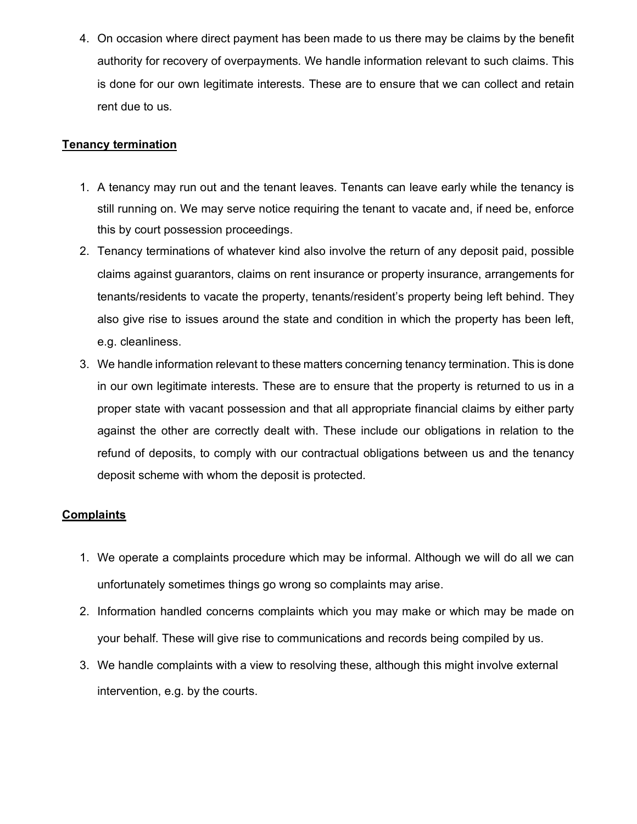4. On occasion where direct payment has been made to us there may be claims by the benefit authority for recovery of overpayments. We handle information relevant to such claims. This is done for our own legitimate interests. These are to ensure that we can collect and retain rent due to us.

## **Tenancy termination**

- 1. A tenancy may run out and the tenant leaves. Tenants can leave early while the tenancy is still running on. We may serve notice requiring the tenant to vacate and, if need be, enforce this by court possession proceedings.
- 2. Tenancy terminations of whatever kind also involve the return of any deposit paid, possible claims against guarantors, claims on rent insurance or property insurance, arrangements for tenants/residents to vacate the property, tenants/resident's property being left behind. They also give rise to issues around the state and condition in which the property has been left, e.g. cleanliness.
- 3. We handle information relevant to these matters concerning tenancy termination. This is done in our own legitimate interests. These are to ensure that the property is returned to us in a proper state with vacant possession and that all appropriate financial claims by either party against the other are correctly dealt with. These include our obligations in relation to the refund of deposits, to comply with our contractual obligations between us and the tenancy deposit scheme with whom the deposit is protected.

## **Complaints**

- 1. We operate a complaints procedure which may be informal. Although we will do all we can unfortunately sometimes things go wrong so complaints may arise.
- 2. Information handled concerns complaints which you may make or which may be made on your behalf. These will give rise to communications and records being compiled by us.
- 3. We handle complaints with a view to resolving these, although this might involve external intervention, e.g. by the courts.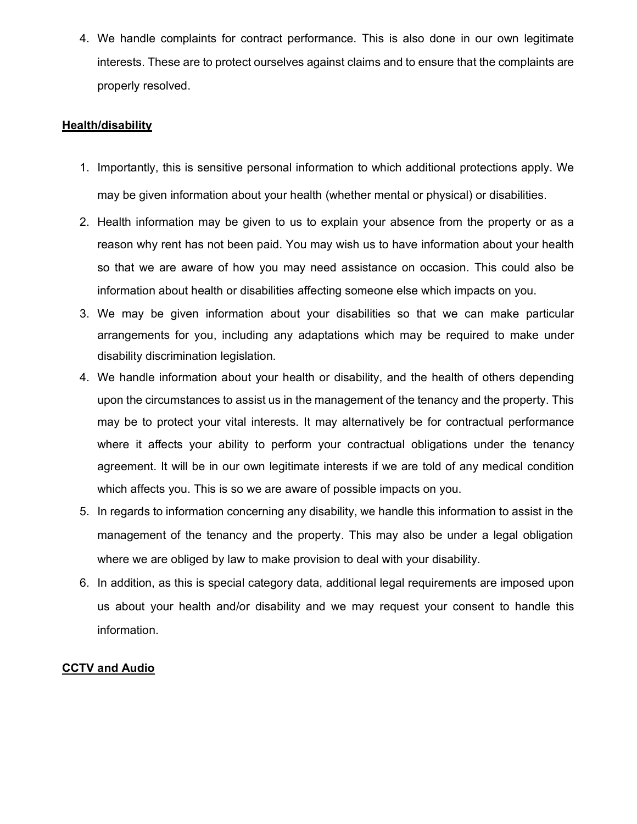4. We handle complaints for contract performance. This is also done in our own legitimate interests. These are to protect ourselves against claims and to ensure that the complaints are properly resolved.

## Health/disability

- 1. Importantly, this is sensitive personal information to which additional protections apply. We may be given information about your health (whether mental or physical) or disabilities.
- 2. Health information may be given to us to explain your absence from the property or as a reason why rent has not been paid. You may wish us to have information about your health so that we are aware of how you may need assistance on occasion. This could also be information about health or disabilities affecting someone else which impacts on you.
- 3. We may be given information about your disabilities so that we can make particular arrangements for you, including any adaptations which may be required to make under disability discrimination legislation.
- 4. We handle information about your health or disability, and the health of others depending upon the circumstances to assist us in the management of the tenancy and the property. This may be to protect your vital interests. It may alternatively be for contractual performance where it affects your ability to perform your contractual obligations under the tenancy agreement. It will be in our own legitimate interests if we are told of any medical condition which affects you. This is so we are aware of possible impacts on you.
- 5. In regards to information concerning any disability, we handle this information to assist in the management of the tenancy and the property. This may also be under a legal obligation where we are obliged by law to make provision to deal with your disability.
- 6. In addition, as this is special category data, additional legal requirements are imposed upon us about your health and/or disability and we may request your consent to handle this information.

## CCTV and Audio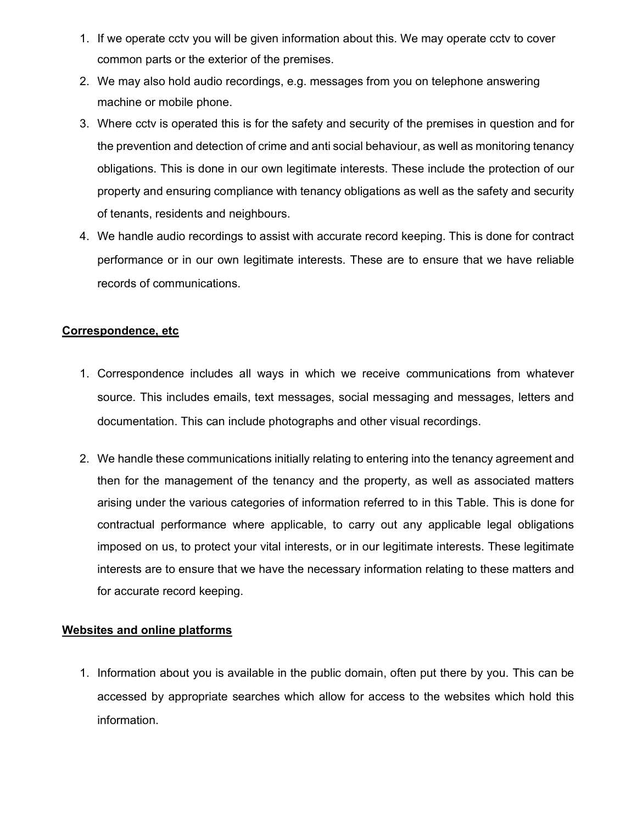- 1. If we operate cctv you will be given information about this. We may operate cctv to cover common parts or the exterior of the premises.
- 2. We may also hold audio recordings, e.g. messages from you on telephone answering machine or mobile phone.
- 3. Where cctv is operated this is for the safety and security of the premises in question and for the prevention and detection of crime and anti social behaviour, as well as monitoring tenancy obligations. This is done in our own legitimate interests. These include the protection of our property and ensuring compliance with tenancy obligations as well as the safety and security of tenants, residents and neighbours.
- 4. We handle audio recordings to assist with accurate record keeping. This is done for contract performance or in our own legitimate interests. These are to ensure that we have reliable records of communications.

## Correspondence, etc

- 1. Correspondence includes all ways in which we receive communications from whatever source. This includes emails, text messages, social messaging and messages, letters and documentation. This can include photographs and other visual recordings.
- 2. We handle these communications initially relating to entering into the tenancy agreement and then for the management of the tenancy and the property, as well as associated matters arising under the various categories of information referred to in this Table. This is done for contractual performance where applicable, to carry out any applicable legal obligations imposed on us, to protect your vital interests, or in our legitimate interests. These legitimate interests are to ensure that we have the necessary information relating to these matters and for accurate record keeping.

## Websites and online platforms

1. Information about you is available in the public domain, often put there by you. This can be accessed by appropriate searches which allow for access to the websites which hold this information.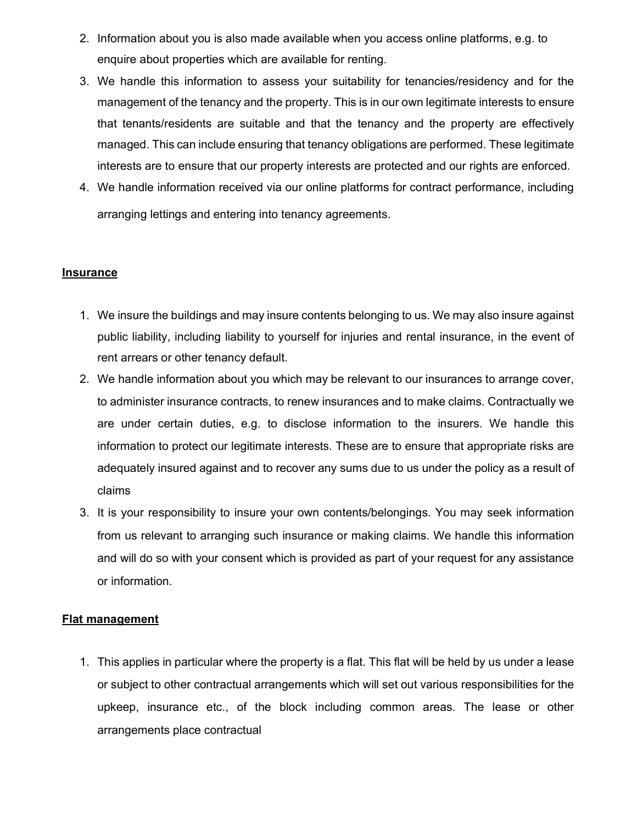- 2. Information about you is also made available when you access online platforms, e.g. to enquire about properties which are available for renting.
- 3. We handle this information to assess your suitability for tenancies/residency and for the management of the tenancy and the property. This is in our own legitimate interests to ensure that tenants/residents are suitable and that the tenancy and the property are effectively managed. This can include ensuring that tenancy obligations are performed. These legitimate interests are to ensure that our property interests are protected and our rights are enforced.
- 4. We handle information received via our online platforms for contract performance, including arranging lettings and entering into tenancy agreements.

## Insurance

- 1. We insure the buildings and may insure contents belonging to us. We may also insure against public liability, including liability to yourself for injuries and rental insurance, in the event of rent arrears or other tenancy default.
- 2. We handle information about you which may be relevant to our insurances to arrange cover, to administer insurance contracts, to renew insurances and to make claims. Contractually we are under certain duties, e.g. to disclose information to the insurers. We handle this information to protect our legitimate interests. These are to ensure that appropriate risks are adequately insured against and to recover any sums due to us under the policy as a result of claims
- 3. It is your responsibility to insure your own contents/belongings. You may seek information from us relevant to arranging such insurance or making claims. We handle this information and will do so with your consent which is provided as part of your request for any assistance or information.

#### Flat management

1. This applies in particular where the property is a flat. This flat will be held by us under a lease or subject to other contractual arrangements which will set out various responsibilities for the upkeep, insurance etc., of the block including common areas. The lease or other arrangements place contractual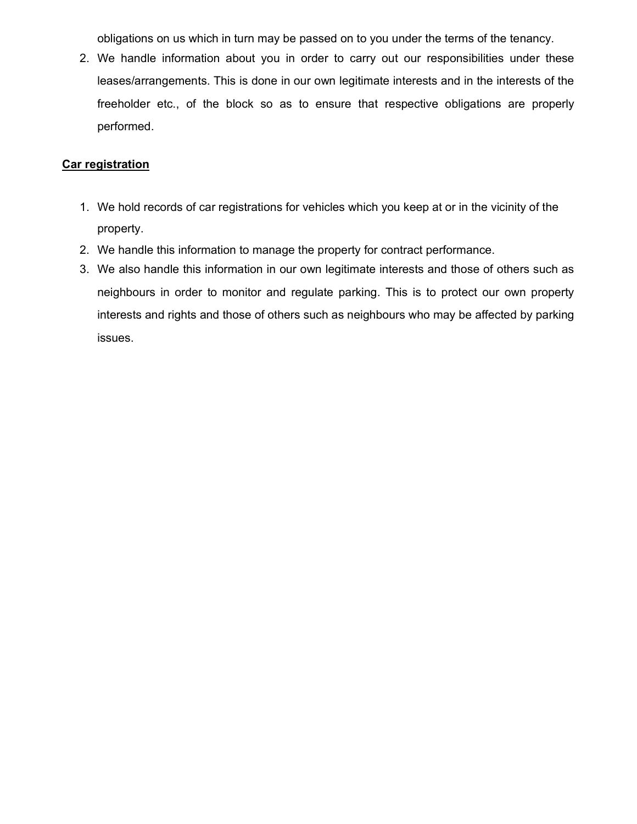obligations on us which in turn may be passed on to you under the terms of the tenancy.

2. We handle information about you in order to carry out our responsibilities under these leases/arrangements. This is done in our own legitimate interests and in the interests of the freeholder etc., of the block so as to ensure that respective obligations are properly performed.

## Car registration

- 1. We hold records of car registrations for vehicles which you keep at or in the vicinity of the property.
- 2. We handle this information to manage the property for contract performance.
- 3. We also handle this information in our own legitimate interests and those of others such as neighbours in order to monitor and regulate parking. This is to protect our own property interests and rights and those of others such as neighbours who may be affected by parking issues.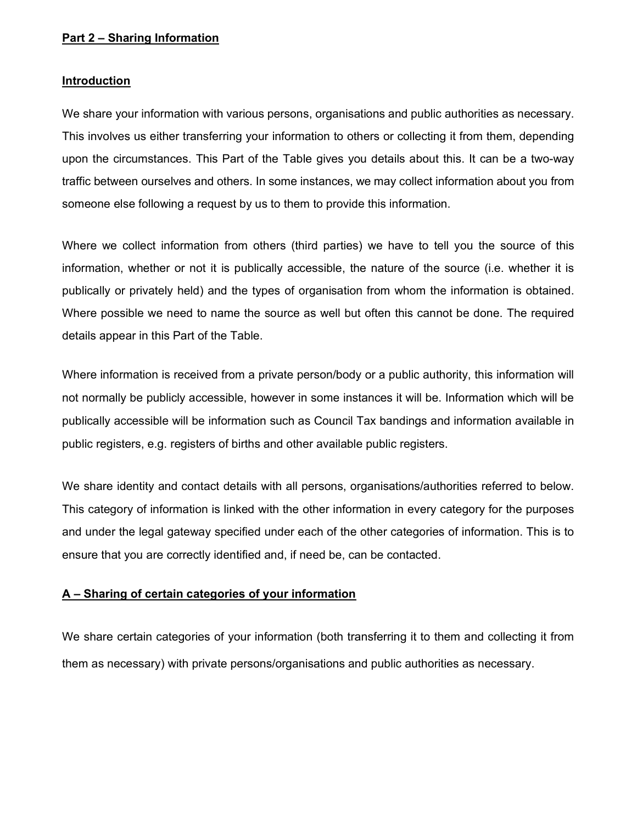## Part 2 – Sharing Information

#### Introduction

We share your information with various persons, organisations and public authorities as necessary. This involves us either transferring your information to others or collecting it from them, depending upon the circumstances. This Part of the Table gives you details about this. It can be a two-way traffic between ourselves and others. In some instances, we may collect information about you from someone else following a request by us to them to provide this information.

Where we collect information from others (third parties) we have to tell you the source of this information, whether or not it is publically accessible, the nature of the source (i.e. whether it is publically or privately held) and the types of organisation from whom the information is obtained. Where possible we need to name the source as well but often this cannot be done. The required details appear in this Part of the Table.

Where information is received from a private person/body or a public authority, this information will not normally be publicly accessible, however in some instances it will be. Information which will be publically accessible will be information such as Council Tax bandings and information available in public registers, e.g. registers of births and other available public registers.

We share identity and contact details with all persons, organisations/authorities referred to below. This category of information is linked with the other information in every category for the purposes and under the legal gateway specified under each of the other categories of information. This is to ensure that you are correctly identified and, if need be, can be contacted.

#### A – Sharing of certain categories of your information

We share certain categories of your information (both transferring it to them and collecting it from them as necessary) with private persons/organisations and public authorities as necessary.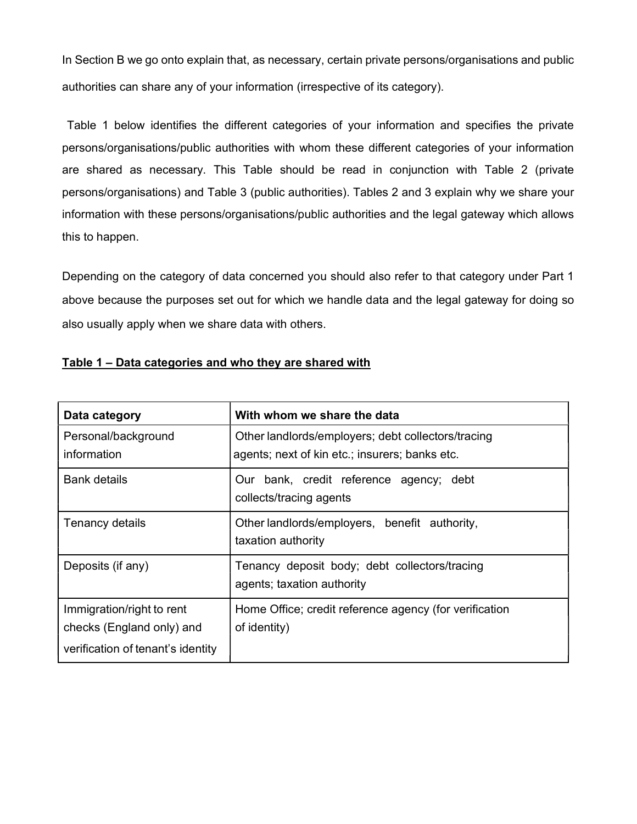In Section B we go onto explain that, as necessary, certain private persons/organisations and public authorities can share any of your information (irrespective of its category).

Table 1 below identifies the different categories of your information and specifies the private persons/organisations/public authorities with whom these different categories of your information are shared as necessary. This Table should be read in conjunction with Table 2 (private persons/organisations) and Table 3 (public authorities). Tables 2 and 3 explain why we share your information with these persons/organisations/public authorities and the legal gateway which allows this to happen.

Depending on the category of data concerned you should also refer to that category under Part 1 above because the purposes set out for which we handle data and the legal gateway for doing so also usually apply when we share data with others.

| Data category                                                                               | With whom we share the data                                                                          |  |  |  |  |  |
|---------------------------------------------------------------------------------------------|------------------------------------------------------------------------------------------------------|--|--|--|--|--|
| Personal/background<br>information                                                          | Other landlords/employers; debt collectors/tracing<br>agents; next of kin etc.; insurers; banks etc. |  |  |  |  |  |
| <b>Bank details</b>                                                                         | Our bank, credit reference agency; debt<br>collects/tracing agents                                   |  |  |  |  |  |
| Tenancy details                                                                             | Other landlords/employers, benefit authority,<br>taxation authority                                  |  |  |  |  |  |
| Deposits (if any)                                                                           | Tenancy deposit body; debt collectors/tracing<br>agents; taxation authority                          |  |  |  |  |  |
| Immigration/right to rent<br>checks (England only) and<br>verification of tenant's identity | Home Office; credit reference agency (for verification<br>of identity)                               |  |  |  |  |  |

### Table 1 – Data categories and who they are shared with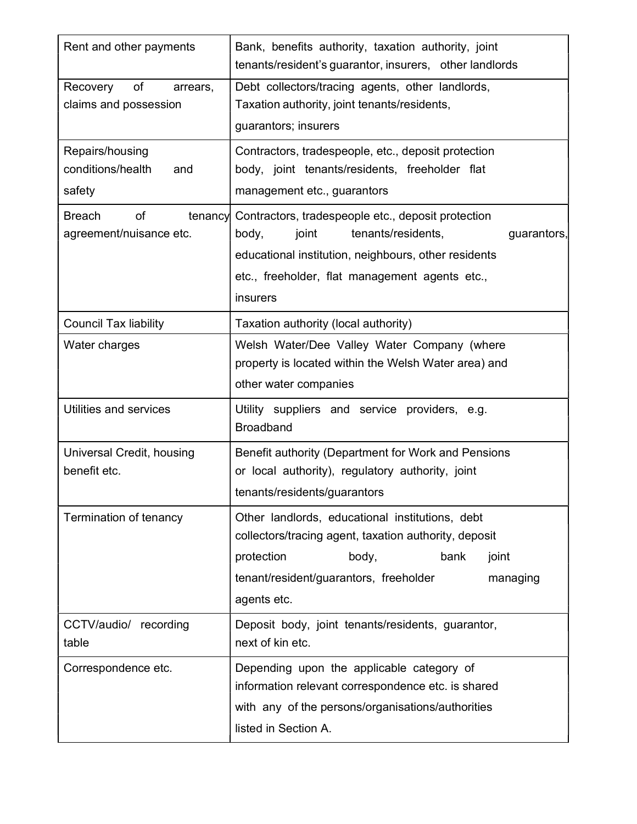| Rent and other payments                               | Bank, benefits authority, taxation authority, joint<br>tenants/resident's guarantor, insurers, other landlords                                                                                                                          |  |  |  |  |
|-------------------------------------------------------|-----------------------------------------------------------------------------------------------------------------------------------------------------------------------------------------------------------------------------------------|--|--|--|--|
| Recovery<br>of<br>arrears,<br>claims and possession   | Debt collectors/tracing agents, other landlords,<br>Taxation authority, joint tenants/residents,<br>guarantors; insurers                                                                                                                |  |  |  |  |
| Repairs/housing<br>conditions/health<br>and<br>safety | Contractors, tradespeople, etc., deposit protection<br>body, joint tenants/residents, freeholder flat<br>management etc., guarantors                                                                                                    |  |  |  |  |
| of<br><b>Breach</b><br>agreement/nuisance etc.        | tenancy Contractors, tradespeople etc., deposit protection<br>body,<br>joint<br>tenants/residents,<br>guarantors,<br>educational institution, neighbours, other residents<br>etc., freeholder, flat management agents etc.,<br>insurers |  |  |  |  |
| <b>Council Tax liability</b>                          | Taxation authority (local authority)                                                                                                                                                                                                    |  |  |  |  |
| Water charges                                         | Welsh Water/Dee Valley Water Company (where<br>property is located within the Welsh Water area) and<br>other water companies                                                                                                            |  |  |  |  |
| Utilities and services                                | Utility suppliers and service providers, e.g.<br><b>Broadband</b>                                                                                                                                                                       |  |  |  |  |
| Universal Credit, housing<br>benefit etc.             | Benefit authority (Department for Work and Pensions<br>or local authority), regulatory authority, joint<br>tenants/residents/guarantors                                                                                                 |  |  |  |  |
| Termination of tenancy                                | Other landlords, educational institutions, debt<br>collectors/tracing agent, taxation authority, deposit<br>protection<br>body,<br>bank<br>joint<br>tenant/resident/guarantors, freeholder<br>managing<br>agents etc.                   |  |  |  |  |
| CCTV/audio/ recording<br>table                        | Deposit body, joint tenants/residents, guarantor,<br>next of kin etc.                                                                                                                                                                   |  |  |  |  |
| Correspondence etc.                                   | Depending upon the applicable category of<br>information relevant correspondence etc. is shared<br>with any of the persons/organisations/authorities<br>listed in Section A.                                                            |  |  |  |  |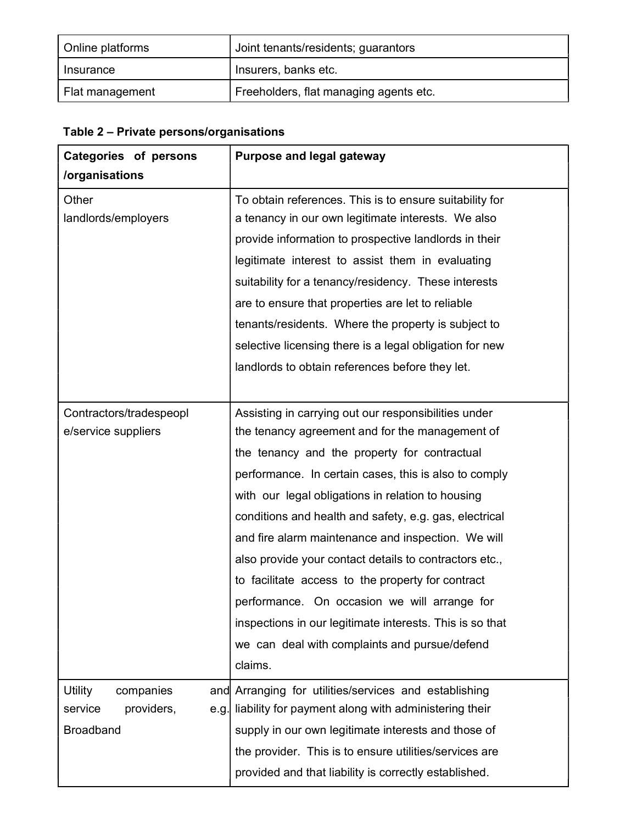| Online platforms | Joint tenants/residents; guarantors    |  |  |
|------------------|----------------------------------------|--|--|
| Insurance        | Insurers, banks etc.                   |  |  |
| Flat management  | Freeholders, flat managing agents etc. |  |  |

# Table 2 – Private persons/organisations

| Categories of persons   | <b>Purpose and legal gateway</b>                          |  |  |  |
|-------------------------|-----------------------------------------------------------|--|--|--|
| /organisations          |                                                           |  |  |  |
| Other                   | To obtain references. This is to ensure suitability for   |  |  |  |
| landlords/employers     | a tenancy in our own legitimate interests. We also        |  |  |  |
|                         | provide information to prospective landlords in their     |  |  |  |
|                         | legitimate interest to assist them in evaluating          |  |  |  |
|                         | suitability for a tenancy/residency. These interests      |  |  |  |
|                         | are to ensure that properties are let to reliable         |  |  |  |
|                         | tenants/residents. Where the property is subject to       |  |  |  |
|                         | selective licensing there is a legal obligation for new   |  |  |  |
|                         | landlords to obtain references before they let.           |  |  |  |
|                         |                                                           |  |  |  |
| Contractors/tradespeopl | Assisting in carrying out our responsibilities under      |  |  |  |
| e/service suppliers     | the tenancy agreement and for the management of           |  |  |  |
|                         | the tenancy and the property for contractual              |  |  |  |
|                         | performance. In certain cases, this is also to comply     |  |  |  |
|                         | with our legal obligations in relation to housing         |  |  |  |
|                         | conditions and health and safety, e.g. gas, electrical    |  |  |  |
|                         | and fire alarm maintenance and inspection. We will        |  |  |  |
|                         | also provide your contact details to contractors etc.,    |  |  |  |
|                         | to facilitate access to the property for contract         |  |  |  |
|                         | performance. On occasion we will arrange for              |  |  |  |
|                         | inspections in our legitimate interests. This is so that  |  |  |  |
|                         | we can deal with complaints and pursue/defend             |  |  |  |
|                         | claims.                                                   |  |  |  |
| Utility<br>companies    | and Arranging for utilities/services and establishing     |  |  |  |
| providers,<br>service   | e.g. liability for payment along with administering their |  |  |  |
| <b>Broadband</b>        | supply in our own legitimate interests and those of       |  |  |  |
|                         | the provider. This is to ensure utilities/services are    |  |  |  |
|                         | provided and that liability is correctly established.     |  |  |  |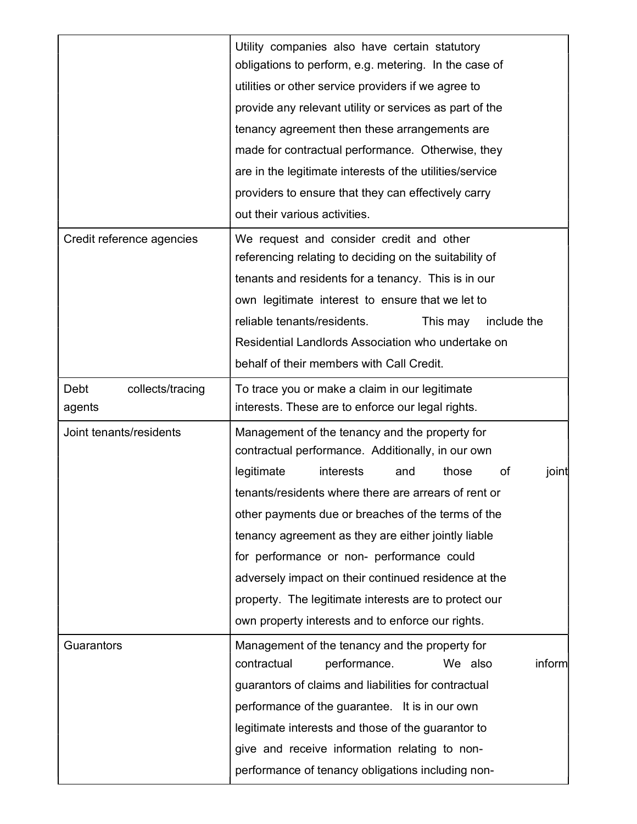|                           | Utility companies also have certain statutory            |  |  |  |  |  |  |
|---------------------------|----------------------------------------------------------|--|--|--|--|--|--|
|                           | obligations to perform, e.g. metering. In the case of    |  |  |  |  |  |  |
|                           | utilities or other service providers if we agree to      |  |  |  |  |  |  |
|                           | provide any relevant utility or services as part of the  |  |  |  |  |  |  |
|                           | tenancy agreement then these arrangements are            |  |  |  |  |  |  |
|                           | made for contractual performance. Otherwise, they        |  |  |  |  |  |  |
|                           | are in the legitimate interests of the utilities/service |  |  |  |  |  |  |
|                           | providers to ensure that they can effectively carry      |  |  |  |  |  |  |
|                           | out their various activities.                            |  |  |  |  |  |  |
| Credit reference agencies | We request and consider credit and other                 |  |  |  |  |  |  |
|                           | referencing relating to deciding on the suitability of   |  |  |  |  |  |  |
|                           | tenants and residents for a tenancy. This is in our      |  |  |  |  |  |  |
|                           | own legitimate interest to ensure that we let to         |  |  |  |  |  |  |
|                           | reliable tenants/residents.<br>This may<br>include the   |  |  |  |  |  |  |
|                           | Residential Landlords Association who undertake on       |  |  |  |  |  |  |
|                           | behalf of their members with Call Credit.                |  |  |  |  |  |  |
| Debt<br>collects/tracing  | To trace you or make a claim in our legitimate           |  |  |  |  |  |  |
| agents                    | interests. These are to enforce our legal rights.        |  |  |  |  |  |  |
| Joint tenants/residents   | Management of the tenancy and the property for           |  |  |  |  |  |  |
|                           | contractual performance. Additionally, in our own        |  |  |  |  |  |  |
|                           | legitimate<br>interests<br>of<br>those<br>joint<br>and   |  |  |  |  |  |  |
|                           | tenants/residents where there are arrears of rent or     |  |  |  |  |  |  |
|                           | other payments due or breaches of the terms of the       |  |  |  |  |  |  |
|                           | tenancy agreement as they are either jointly liable      |  |  |  |  |  |  |
|                           | for performance or non- performance could                |  |  |  |  |  |  |
|                           | adversely impact on their continued residence at the     |  |  |  |  |  |  |
|                           | property. The legitimate interests are to protect our    |  |  |  |  |  |  |
|                           | own property interests and to enforce our rights.        |  |  |  |  |  |  |
| Guarantors                | Management of the tenancy and the property for           |  |  |  |  |  |  |
|                           | contractual<br>performance.<br>inform<br>We also         |  |  |  |  |  |  |
|                           | guarantors of claims and liabilities for contractual     |  |  |  |  |  |  |
|                           | performance of the guarantee. It is in our own           |  |  |  |  |  |  |
|                           |                                                          |  |  |  |  |  |  |
|                           | legitimate interests and those of the guarantor to       |  |  |  |  |  |  |
|                           | give and receive information relating to non-            |  |  |  |  |  |  |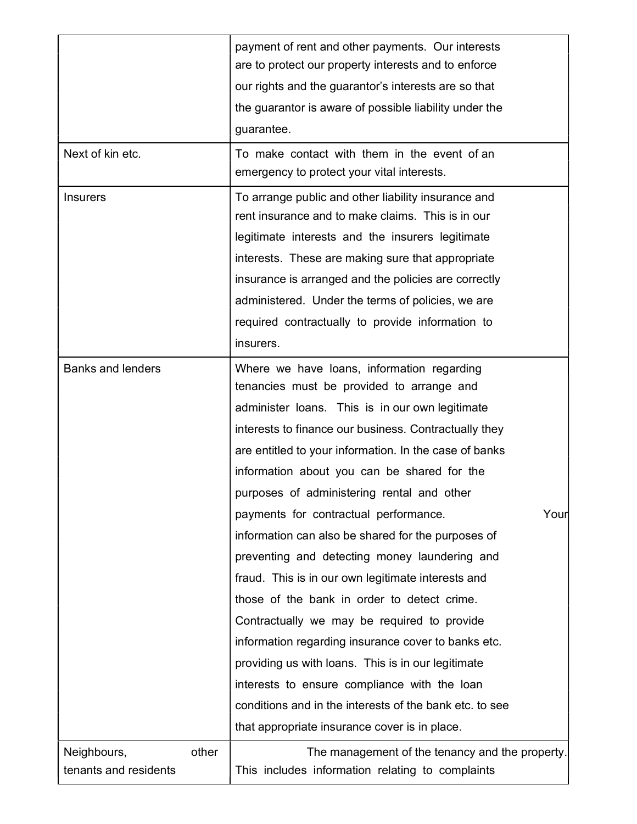|                                               | payment of rent and other payments. Our interests                                                   |  |  |  |  |  |
|-----------------------------------------------|-----------------------------------------------------------------------------------------------------|--|--|--|--|--|
|                                               | are to protect our property interests and to enforce                                                |  |  |  |  |  |
|                                               | our rights and the guarantor's interests are so that                                                |  |  |  |  |  |
|                                               | the guarantor is aware of possible liability under the                                              |  |  |  |  |  |
|                                               | guarantee.                                                                                          |  |  |  |  |  |
| Next of kin etc.                              | To make contact with them in the event of an                                                        |  |  |  |  |  |
|                                               | emergency to protect your vital interests.                                                          |  |  |  |  |  |
| <b>Insurers</b>                               | To arrange public and other liability insurance and                                                 |  |  |  |  |  |
|                                               | rent insurance and to make claims. This is in our                                                   |  |  |  |  |  |
|                                               | legitimate interests and the insurers legitimate                                                    |  |  |  |  |  |
|                                               | interests. These are making sure that appropriate                                                   |  |  |  |  |  |
|                                               | insurance is arranged and the policies are correctly                                                |  |  |  |  |  |
|                                               | administered. Under the terms of policies, we are                                                   |  |  |  |  |  |
|                                               | required contractually to provide information to                                                    |  |  |  |  |  |
|                                               | insurers.                                                                                           |  |  |  |  |  |
| <b>Banks and lenders</b>                      | Where we have loans, information regarding                                                          |  |  |  |  |  |
|                                               | tenancies must be provided to arrange and                                                           |  |  |  |  |  |
|                                               | administer loans. This is in our own legitimate                                                     |  |  |  |  |  |
|                                               | interests to finance our business. Contractually they                                               |  |  |  |  |  |
|                                               | are entitled to your information. In the case of banks                                              |  |  |  |  |  |
|                                               | information about you can be shared for the                                                         |  |  |  |  |  |
|                                               | purposes of administering rental and other                                                          |  |  |  |  |  |
|                                               | payments for contractual performance.<br>Your                                                       |  |  |  |  |  |
|                                               | information can also be shared for the purposes of                                                  |  |  |  |  |  |
|                                               | preventing and detecting money laundering and                                                       |  |  |  |  |  |
|                                               | fraud. This is in our own legitimate interests and                                                  |  |  |  |  |  |
|                                               | those of the bank in order to detect crime.                                                         |  |  |  |  |  |
|                                               | Contractually we may be required to provide                                                         |  |  |  |  |  |
|                                               | information regarding insurance cover to banks etc.                                                 |  |  |  |  |  |
|                                               | providing us with loans. This is in our legitimate                                                  |  |  |  |  |  |
|                                               | interests to ensure compliance with the loan                                                        |  |  |  |  |  |
|                                               | conditions and in the interests of the bank etc. to see                                             |  |  |  |  |  |
|                                               | that appropriate insurance cover is in place.                                                       |  |  |  |  |  |
| other<br>Neighbours,<br>tenants and residents | The management of the tenancy and the property.<br>This includes information relating to complaints |  |  |  |  |  |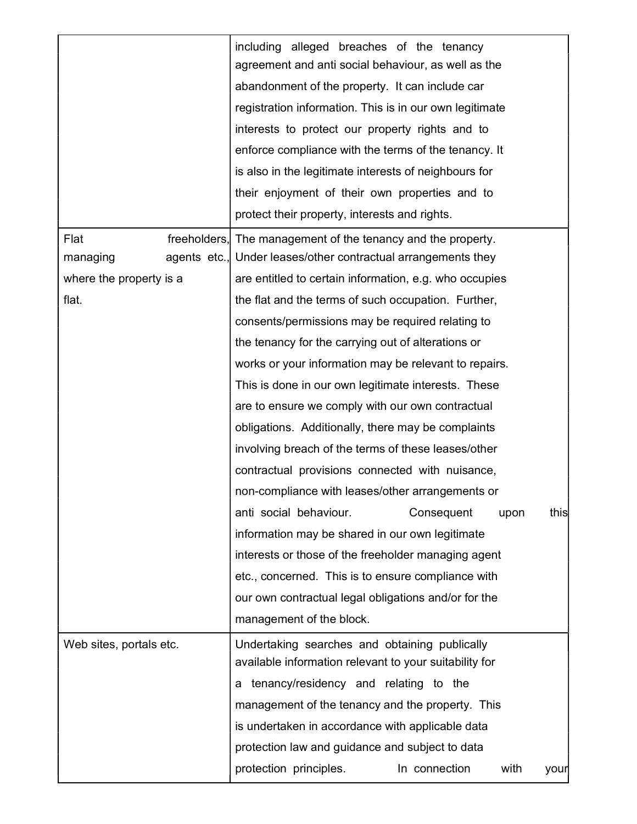|                         | including alleged breaches of the tenancy<br>agreement and anti social behaviour, as well as the |  |  |  |  |  |
|-------------------------|--------------------------------------------------------------------------------------------------|--|--|--|--|--|
|                         | abandonment of the property. It can include car                                                  |  |  |  |  |  |
|                         | registration information. This is in our own legitimate                                          |  |  |  |  |  |
|                         | interests to protect our property rights and to                                                  |  |  |  |  |  |
|                         | enforce compliance with the terms of the tenancy. It                                             |  |  |  |  |  |
|                         | is also in the legitimate interests of neighbours for                                            |  |  |  |  |  |
|                         | their enjoyment of their own properties and to                                                   |  |  |  |  |  |
|                         | protect their property, interests and rights.                                                    |  |  |  |  |  |
| Flat                    | freeholders, The management of the tenancy and the property.                                     |  |  |  |  |  |
| managing                | agents etc., Under leases/other contractual arrangements they                                    |  |  |  |  |  |
| where the property is a | are entitled to certain information, e.g. who occupies                                           |  |  |  |  |  |
| flat.                   | the flat and the terms of such occupation. Further,                                              |  |  |  |  |  |
|                         | consents/permissions may be required relating to                                                 |  |  |  |  |  |
|                         | the tenancy for the carrying out of alterations or                                               |  |  |  |  |  |
|                         | works or your information may be relevant to repairs.                                            |  |  |  |  |  |
|                         | This is done in our own legitimate interests. These                                              |  |  |  |  |  |
|                         |                                                                                                  |  |  |  |  |  |
|                         | are to ensure we comply with our own contractual                                                 |  |  |  |  |  |
|                         | obligations. Additionally, there may be complaints                                               |  |  |  |  |  |
|                         | involving breach of the terms of these leases/other                                              |  |  |  |  |  |
|                         | contractual provisions connected with nuisance,                                                  |  |  |  |  |  |
|                         | non-compliance with leases/other arrangements or                                                 |  |  |  |  |  |
|                         | anti social behaviour.<br>this<br>Consequent<br>upon                                             |  |  |  |  |  |
|                         | information may be shared in our own legitimate                                                  |  |  |  |  |  |
|                         | interests or those of the freeholder managing agent                                              |  |  |  |  |  |
|                         | etc., concerned. This is to ensure compliance with                                               |  |  |  |  |  |
|                         | our own contractual legal obligations and/or for the                                             |  |  |  |  |  |
|                         | management of the block.                                                                         |  |  |  |  |  |
| Web sites, portals etc. | Undertaking searches and obtaining publically                                                    |  |  |  |  |  |
|                         | available information relevant to your suitability for                                           |  |  |  |  |  |
|                         | a tenancy/residency and relating to the                                                          |  |  |  |  |  |
|                         | management of the tenancy and the property. This                                                 |  |  |  |  |  |
|                         | is undertaken in accordance with applicable data                                                 |  |  |  |  |  |
|                         | protection law and guidance and subject to data                                                  |  |  |  |  |  |
|                         | protection principles.<br>In connection<br>with<br>your                                          |  |  |  |  |  |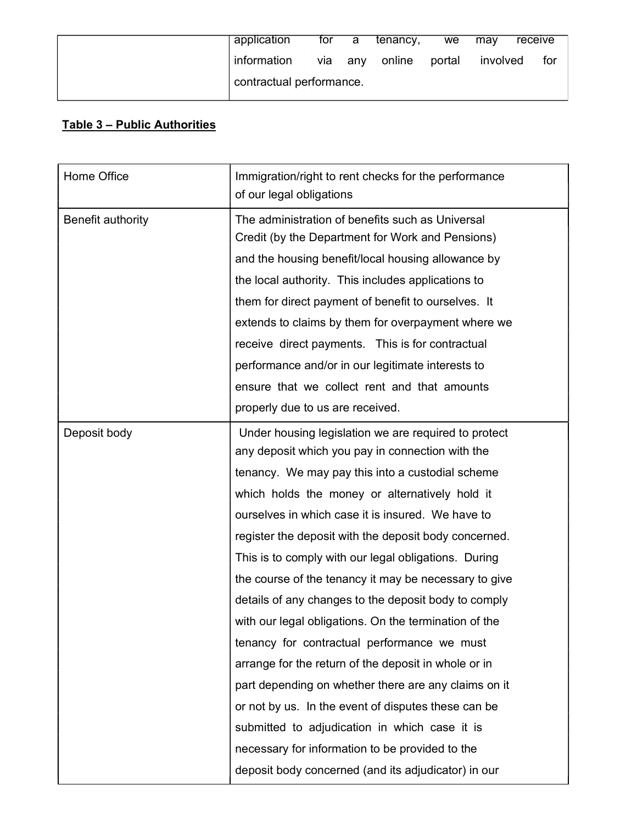| application              | for | а   | tenancy, | we     | mav      | receive |
|--------------------------|-----|-----|----------|--------|----------|---------|
| information              | via | any | online   | portal | involved | for     |
| contractual performance. |     |     |          |        |          |         |

# Table 3 – Public Authorities

| Home Office       | Immigration/right to rent checks for the performance<br>of our legal obligations |  |
|-------------------|----------------------------------------------------------------------------------|--|
| Benefit authority | The administration of benefits such as Universal                                 |  |
|                   | Credit (by the Department for Work and Pensions)                                 |  |
|                   | and the housing benefit/local housing allowance by                               |  |
|                   | the local authority. This includes applications to                               |  |
|                   | them for direct payment of benefit to ourselves. It                              |  |
|                   | extends to claims by them for overpayment where we                               |  |
|                   | receive direct payments. This is for contractual                                 |  |
|                   | performance and/or in our legitimate interests to                                |  |
|                   | ensure that we collect rent and that amounts                                     |  |
|                   | properly due to us are received.                                                 |  |
| Deposit body      | Under housing legislation we are required to protect                             |  |
|                   | any deposit which you pay in connection with the                                 |  |
|                   | tenancy. We may pay this into a custodial scheme                                 |  |
|                   | which holds the money or alternatively hold it                                   |  |
|                   | ourselves in which case it is insured. We have to                                |  |
|                   | register the deposit with the deposit body concerned.                            |  |
|                   | This is to comply with our legal obligations. During                             |  |
|                   | the course of the tenancy it may be necessary to give                            |  |
|                   | details of any changes to the deposit body to comply                             |  |
|                   | with our legal obligations. On the termination of the                            |  |
|                   | tenancy for contractual performance we must                                      |  |
|                   | arrange for the return of the deposit in whole or in                             |  |
|                   | part depending on whether there are any claims on it                             |  |
|                   | or not by us. In the event of disputes these can be                              |  |
|                   | submitted to adjudication in which case it is                                    |  |
|                   | necessary for information to be provided to the                                  |  |
|                   | deposit body concerned (and its adjudicator) in our                              |  |
|                   |                                                                                  |  |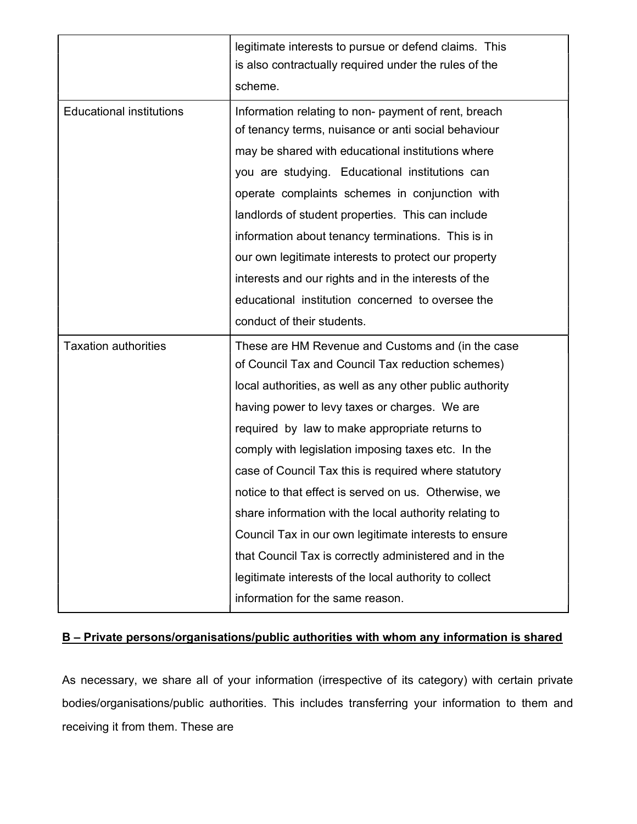|                                 | legitimate interests to pursue or defend claims. This<br>is also contractually required under the rules of the<br>scheme.                                                                                                                                                                                                                                                                                                                                                                                                                                                                                                                                                                                             |
|---------------------------------|-----------------------------------------------------------------------------------------------------------------------------------------------------------------------------------------------------------------------------------------------------------------------------------------------------------------------------------------------------------------------------------------------------------------------------------------------------------------------------------------------------------------------------------------------------------------------------------------------------------------------------------------------------------------------------------------------------------------------|
| <b>Educational institutions</b> | Information relating to non- payment of rent, breach<br>of tenancy terms, nuisance or anti social behaviour<br>may be shared with educational institutions where<br>you are studying. Educational institutions can<br>operate complaints schemes in conjunction with<br>landlords of student properties. This can include<br>information about tenancy terminations. This is in<br>our own legitimate interests to protect our property<br>interests and our rights and in the interests of the<br>educational institution concerned to oversee the                                                                                                                                                                   |
|                                 | conduct of their students.                                                                                                                                                                                                                                                                                                                                                                                                                                                                                                                                                                                                                                                                                            |
| <b>Taxation authorities</b>     | These are HM Revenue and Customs and (in the case<br>of Council Tax and Council Tax reduction schemes)<br>local authorities, as well as any other public authority<br>having power to levy taxes or charges. We are<br>required by law to make appropriate returns to<br>comply with legislation imposing taxes etc. In the<br>case of Council Tax this is required where statutory<br>notice to that effect is served on us. Otherwise, we<br>share information with the local authority relating to<br>Council Tax in our own legitimate interests to ensure<br>that Council Tax is correctly administered and in the<br>legitimate interests of the local authority to collect<br>information for the same reason. |

# B – Private persons/organisations/public authorities with whom any information is shared

As necessary, we share all of your information (irrespective of its category) with certain private bodies/organisations/public authorities. This includes transferring your information to them and receiving it from them. These are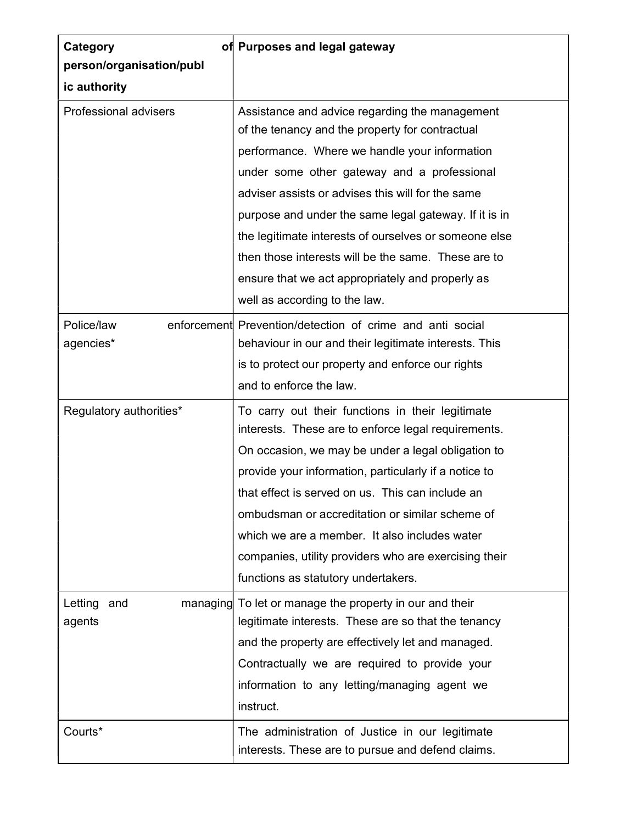| Category                     | of Purposes and legal gateway                                                                                      |  |  |  |
|------------------------------|--------------------------------------------------------------------------------------------------------------------|--|--|--|
| person/organisation/publ     |                                                                                                                    |  |  |  |
| ic authority                 |                                                                                                                    |  |  |  |
| <b>Professional advisers</b> | Assistance and advice regarding the management<br>of the tenancy and the property for contractual                  |  |  |  |
|                              | performance. Where we handle your information                                                                      |  |  |  |
|                              | under some other gateway and a professional                                                                        |  |  |  |
|                              | adviser assists or advises this will for the same                                                                  |  |  |  |
|                              | purpose and under the same legal gateway. If it is in                                                              |  |  |  |
|                              | the legitimate interests of ourselves or someone else                                                              |  |  |  |
|                              | then those interests will be the same. These are to                                                                |  |  |  |
|                              | ensure that we act appropriately and properly as                                                                   |  |  |  |
|                              | well as according to the law.                                                                                      |  |  |  |
| Police/law<br>agencies*      | enforcement Prevention/detection of crime and anti social<br>behaviour in our and their legitimate interests. This |  |  |  |
|                              | is to protect our property and enforce our rights                                                                  |  |  |  |
|                              | and to enforce the law.                                                                                            |  |  |  |
| Regulatory authorities*      | To carry out their functions in their legitimate<br>interests. These are to enforce legal requirements.            |  |  |  |
|                              | On occasion, we may be under a legal obligation to                                                                 |  |  |  |
|                              | provide your information, particularly if a notice to                                                              |  |  |  |
|                              | that effect is served on us. This can include an                                                                   |  |  |  |
|                              | ombudsman or accreditation or similar scheme of                                                                    |  |  |  |
|                              | which we are a member. It also includes water                                                                      |  |  |  |
|                              | companies, utility providers who are exercising their                                                              |  |  |  |
|                              | functions as statutory undertakers.                                                                                |  |  |  |
| Letting<br>and               | managing To let or manage the property in our and their                                                            |  |  |  |
| agents                       | legitimate interests. These are so that the tenancy                                                                |  |  |  |
|                              | and the property are effectively let and managed.                                                                  |  |  |  |
|                              | Contractually we are required to provide your                                                                      |  |  |  |
|                              | information to any letting/managing agent we                                                                       |  |  |  |
|                              | instruct.                                                                                                          |  |  |  |
| Courts*                      | The administration of Justice in our legitimate<br>interests. These are to pursue and defend claims.               |  |  |  |